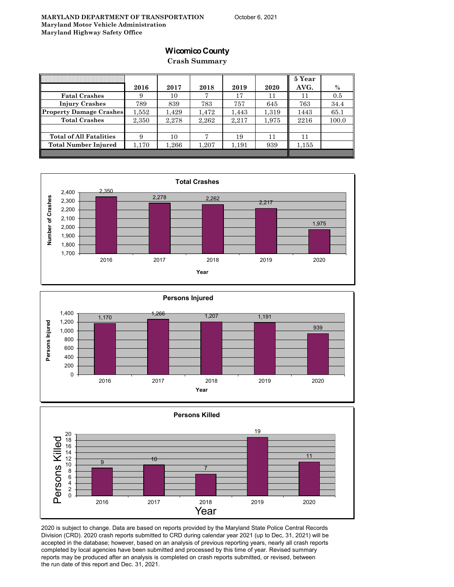## **Wicomico County**

**Crash Summary**

|                                |       |       |       |       |       | 5 Year |       |
|--------------------------------|-------|-------|-------|-------|-------|--------|-------|
|                                | 2016  | 2017  | 2018  | 2019  | 2020  | AVG.   | $\%$  |
| <b>Fatal Crashes</b>           | 9     | 10    |       | 17    | 11    | 11     | 0.5   |
| <b>Injury Crashes</b>          | 789   | 839   | 783   | 757   | 645   | 763    | 34.4  |
| <b>Property Damage Crashes</b> | 1.552 | 1.429 | 1,472 | 1,443 | 1,319 | 1443   | 65.1  |
| <b>Total Crashes</b>           | 2,350 | 2,278 | 2,262 | 2,217 | 1,975 | 2216   | 100.0 |
|                                |       |       |       |       |       |        |       |
| <b>Total of All Fatalities</b> | 9     | 10    |       | 19    | 11    | 11     |       |
| Total Number Injured           | 1,170 | 1,266 | 1,207 | 1,191 | 939   | 1,155  |       |
|                                |       |       |       |       |       |        |       |







2020 is subject to change. Data are based on reports provided by the Maryland State Police Central Records Division (CRD). 2020 crash reports submitted to CRD during calendar year 2021 (up to Dec, 31, 2021) will be accepted in the database; however, based on an analysis of previous reporting years, nearly all crash reports completed by local agencies have been submitted and processed by this time of year. Revised summary reports may be produced after an analysis is completed on crash reports submitted, or revised, between the run date of this report and Dec. 31, 2021.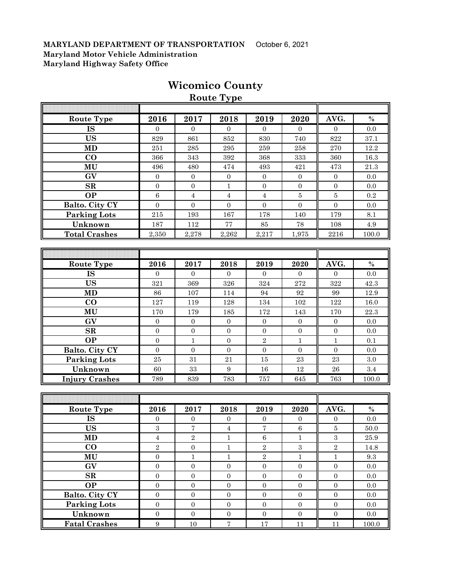|                       |                  |                  | <b>Route Type</b> |                  |                  |                  |          |
|-----------------------|------------------|------------------|-------------------|------------------|------------------|------------------|----------|
|                       |                  |                  |                   |                  |                  |                  |          |
| <b>Route Type</b>     | 2016             | 2017             | 2018              | 2019             | 2020             | AVG.             | $\%$     |
| <b>IS</b>             | $\overline{0}$   | $\overline{0}$   | $\overline{0}$    | $\overline{0}$   | $\theta$         | $\mathbf{0}$     | 0.0      |
| <b>US</b>             | 829              | 861              | 852               | 830              | 740              | 822              | 37.1     |
| <b>MD</b>             | 251              | 285              | 295               | 259              | 258              | 270              | 12.2     |
| $\bf CO$              | 366              | 343              | 392               | 368              | 333              | 360              | 16.3     |
| MU                    | 496              | 480              | 474               | 493              | 421              | 473              | $21.3\,$ |
| GV                    | $\mathbf{0}$     | $\overline{0}$   | $\boldsymbol{0}$  | $\boldsymbol{0}$ | $\overline{0}$   | $\mathbf{0}$     | 0.0      |
| $\mathbf{SR}$         | $\overline{0}$   | $\overline{0}$   | $\mathbf{1}$      | $\boldsymbol{0}$ | $\overline{0}$   | $\mathbf{0}$     | 0.0      |
| <b>OP</b>             | $\,6$            | $\sqrt{4}$       | $\sqrt{4}$        | $\overline{4}$   | 5                | 5                | 0.2      |
| Balto. City CY        | $\overline{0}$   | $\mathbf{0}$     | $\boldsymbol{0}$  | $\overline{0}$   | $\overline{0}$   | $\mathbf{0}$     | 0.0      |
| <b>Parking Lots</b>   | 215              | 193              | 167               | 178              | 140              | 179              | 8.1      |
| Unknown               | 187              | 112              | 77                | 85               | 78               | 108              | $4.9\,$  |
| <b>Total Crashes</b>  | 2,350            | 2,278            | 2,262             | 2,217            | 1,975            | 2216             | 100.0    |
|                       |                  |                  |                   |                  |                  |                  |          |
|                       |                  |                  |                   |                  |                  |                  |          |
| <b>Route Type</b>     | 2016             | 2017             | 2018              | 2019             | 2020             | AVG.             | $\%$     |
| <b>IS</b>             | $\overline{0}$   | $\Omega$         | $\mathbf{0}$      | $\Omega$         | $\overline{0}$   | $\overline{0}$   | 0.0      |
| <b>US</b>             | 321              | 369              | 326               | 324              | 272              | 322              | 42.3     |
| <b>MD</b>             | 86               | 107              | 114               | 94               | 92               | 99               | 12.9     |
| $\bf CO$              | 127              | 119              | 128               | 134              | 102              | 122              | 16.0     |
| MU                    | 170              | 179              | 185               | 172              | 143              | 170              | 22.3     |
| GV                    | $\boldsymbol{0}$ | $\boldsymbol{0}$ | $\boldsymbol{0}$  | $\boldsymbol{0}$ | $\mathbf{0}$     | $\boldsymbol{0}$ | $0.0\,$  |
| SR                    | $\overline{0}$   | $\boldsymbol{0}$ | $\boldsymbol{0}$  | $\boldsymbol{0}$ | $\boldsymbol{0}$ | $\mathbf{0}$     | 0.0      |
| <b>OP</b>             | $\boldsymbol{0}$ | $\mathbf{1}$     | $\mathbf{0}$      | $\overline{2}$   | $\mathbf{1}$     | $\mathbf{1}$     | 0.1      |
| Balto. City CY        | $\mathbf{0}$     | $\boldsymbol{0}$ | $\boldsymbol{0}$  | $\mathbf{0}$     | $\mathbf{0}$     | $\overline{0}$   | $0.0\,$  |
| <b>Parking Lots</b>   | 25               | 31               | 21                | 15               | 23               | 23               | 3.0      |
| Unknown               | 60               | $33\,$           | $\boldsymbol{9}$  | 16               | 12               | 26               | $3.4\,$  |
| <b>Injury Crashes</b> | 789              | 839              | 783               | 757              | 645              | 763              | 100.0    |
|                       |                  |                  |                   |                  |                  |                  |          |
|                       |                  |                  |                   |                  |                  |                  |          |
| <b>Route Type</b>     | 2016             | 2017             | 2018              | 2019             | 2020             | AVG.             | $\%$     |
| IS                    | $\boldsymbol{0}$ | $\boldsymbol{0}$ | $\boldsymbol{0}$  | $\boldsymbol{0}$ | $\boldsymbol{0}$ | $\boldsymbol{0}$ | 0.0      |
| US                    | $\!3$            | 7                | $\bf 4$           | 7                | $\,6\,$          | $\bf 5$          | $50.0\,$ |
| <b>MD</b>             | $\overline{4}$   | $\overline{2}$   | $\mathbf{1}$      | $\,6\,$          | $\mathbf{1}$     | $\overline{3}$   | 25.9     |
| $\bf CO$              | $\,2$            | $\boldsymbol{0}$ | $\mathbf 1$       | $\,2$            | $\,3$            | $\,2$            | 14.8     |
| MU                    | $\boldsymbol{0}$ | $\mathbf{1}$     | $\mathbf{1}$      | $\overline{2}$   | $\mathbf{1}$     | $\,1\,$          | 9.3      |
| GV                    | $\boldsymbol{0}$ | $\boldsymbol{0}$ | $\boldsymbol{0}$  | $\boldsymbol{0}$ | $\boldsymbol{0}$ | $\boldsymbol{0}$ | $0.0\,$  |
| $\mathbf{SR}$         | $\boldsymbol{0}$ | $\boldsymbol{0}$ | $\boldsymbol{0}$  | $\boldsymbol{0}$ | $\boldsymbol{0}$ | $\boldsymbol{0}$ | $0.0\,$  |
| <b>OP</b>             | $\boldsymbol{0}$ | $\mathbf{0}$     | $\boldsymbol{0}$  | $\mathbf{0}$     | $\mathbf{0}$     | $\mathbf{0}$     | $0.0\,$  |
| Balto. City CY        | $\boldsymbol{0}$ | $\mathbf{0}$     | $\boldsymbol{0}$  | $\boldsymbol{0}$ | $\boldsymbol{0}$ | $\boldsymbol{0}$ | $0.0\,$  |
| <b>Parking Lots</b>   | $\boldsymbol{0}$ | $\boldsymbol{0}$ | $\boldsymbol{0}$  | $\boldsymbol{0}$ | $\boldsymbol{0}$ | $\boldsymbol{0}$ | $0.0\,$  |
| Unknown               | $\boldsymbol{0}$ | $\boldsymbol{0}$ | $\boldsymbol{0}$  | $\boldsymbol{0}$ | $\boldsymbol{0}$ | $\boldsymbol{0}$ | $0.0\,$  |

**Fatal Crashes** 9 10 7 17 11 11 100.0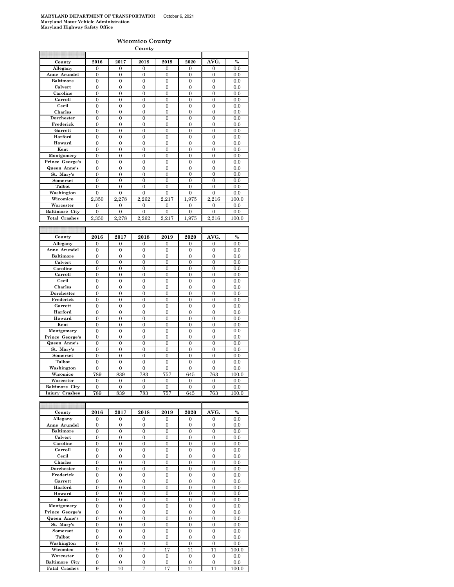|                                    |                     |                     | County                         |                                |                                    |                     |             |
|------------------------------------|---------------------|---------------------|--------------------------------|--------------------------------|------------------------------------|---------------------|-------------|
|                                    |                     |                     |                                |                                |                                    |                     |             |
| County                             | 2016                | 2017                | 2018                           | 2019                           | 2020                               | AVG.                | $\%$        |
| Allegany                           | 0                   | $\overline{0}$      | $\overline{0}$                 | $\overline{0}$                 | $\overline{0}$                     | 0                   | 0.0         |
| Anne Arundel                       | $\overline{0}$      | 0                   | $\mathbf{0}$                   | $\mathbf{0}$                   | $\overline{0}$                     | $\overline{0}$      | 0.0         |
| <b>Baltimore</b>                   | $\overline{0}$      | $\overline{0}$      | $\overline{0}$                 | $\overline{0}$                 | $\overline{0}$                     | $\overline{0}$      | 0.0         |
| Calvert                            | $\theta$            | $\theta$            | $\theta$                       | $\theta$                       | $\theta$                           | $\overline{0}$      | 0.0         |
| Caroline                           | $\overline{0}$      | $\overline{0}$      | $\overline{0}$                 | $\overline{0}$                 | $\overline{0}$                     | $\overline{0}$      | 0.0         |
| Carroll                            | $\boldsymbol{0}$    | $\boldsymbol{0}$    | $\boldsymbol{0}$               | $\mathbf{0}$                   | $\boldsymbol{0}$                   | 0                   | 0.0         |
| Cecil                              | $\mathbf{0}$        | $\overline{0}$      | $\mathbf{0}$                   | $\boldsymbol{0}$               | $\boldsymbol{0}$                   | $\overline{0}$      | 0.0         |
| Charles                            | $\overline{0}$      | $\overline{0}$      | $\overline{0}$                 | $\overline{0}$                 | $\overline{0}$                     | $\overline{0}$      | 0.0         |
| Dorchester                         | $\overline{0}$      | $\overline{0}$      | $\overline{0}$                 | $\mathbf{0}$                   | $\overline{0}$                     | $\overline{0}$      | 0.0         |
| Frederick                          | $\overline{0}$      | $\overline{0}$      | $\mathbf{0}$                   | $\mathbf{0}$                   | $\overline{0}$                     | $\overline{0}$      | 0.0         |
| Garrett                            | $\mathbf{0}$        | $\mathbf{0}$        | $\theta$                       | $\theta$                       | $\boldsymbol{0}$                   | $\overline{0}$      | 0.0         |
| Harford                            | $\mathbf{0}$        | $\mathbf{0}$        | $\overline{0}$                 | $\boldsymbol{0}$               | $\boldsymbol{0}$                   | $\mathbf{0}$        | 0.0         |
| Howard                             | 0                   | 0                   | 0                              | $\bf{0}$                       | 0                                  | 0                   | 0.0         |
| Kent                               | $\boldsymbol{0}$    | $\mathbf{0}$        | $\bf{0}$                       | $\boldsymbol{0}$               | 0                                  | 0                   | 0.0         |
| Montgomery                         | $\overline{0}$      | $\overline{0}$      | $\overline{0}$                 | $\overline{0}$                 | $\overline{0}$                     | $\overline{0}$      | 0.0         |
| Prince George's                    | $\overline{0}$      | $\overline{0}$      | $\overline{0}$                 | $\overline{0}$                 | $\overline{0}$                     | $\overline{0}$      | 0.0         |
| Queen Anne's                       | $\overline{0}$      | $\overline{0}$      | $\overline{0}$                 | $\overline{0}$                 | $\overline{0}$                     | $\overline{0}$      | 0.0         |
| St. Mary's                         | $\mathbf{0}$        | $\mathbf{0}$        | $\boldsymbol{0}$               | $\boldsymbol{0}$               | $\boldsymbol{0}$                   | $\overline{0}$      | 0.0         |
| Somerset                           | $\overline{0}$      | $\overline{0}$      | $\overline{0}$                 | $\overline{0}$                 | $\overline{0}$                     | $\overline{0}$      | 0.0         |
| Talbot                             | 0                   | 0                   | 0                              | 0                              | $\boldsymbol{0}$                   | 0                   | 0.0         |
| Washington                         | $\overline{0}$      | $\overline{0}$      | $\overline{0}$                 | $\overline{0}$                 | $\overline{0}$                     | $\overline{0}$      | 0.0         |
| Wicomico                           | 2,350               | 2,278               | 2.262                          | 2.217                          | 1,975                              | 2.216               | 100.0       |
| Worcester                          | 0                   | 0                   | 0                              | 0                              | $\boldsymbol{0}$                   | $\boldsymbol{0}$    | 0.0         |
| <b>Baltimore City</b>              | 0                   | $\boldsymbol{0}$    | $\mathbf{0}$                   | $\boldsymbol{0}$               | $\boldsymbol{0}$                   | 0                   | 0.0         |
| <b>Total Crashes</b>               | 2,350               | 2,278               | 2,262                          | 2,217                          | 1,975                              | 2,216               | 100.0       |
|                                    |                     |                     |                                |                                |                                    |                     |             |
|                                    |                     |                     |                                |                                |                                    |                     |             |
|                                    |                     |                     |                                |                                |                                    |                     |             |
|                                    |                     |                     |                                |                                |                                    |                     |             |
| County                             | 2016<br>0           | 2017<br>0           | 2018<br>$\mathbf{0}$           | 2019<br>$\mathbf{0}$           | 2020<br>$\mathbf{0}$               | AVG.<br>0           | $\%$<br>0.0 |
| Allegany<br>Anne Arundel           |                     |                     |                                |                                |                                    |                     |             |
| <b>Baltimore</b>                   | $\mathbf{0}$        | $\overline{0}$      | $\mathbf{0}$<br>$\overline{0}$ | $\mathbf{0}$<br>$\overline{0}$ | $\boldsymbol{0}$<br>$\overline{0}$ | $\overline{0}$      | 0.0         |
|                                    | $\mathbf{0}$        | $\boldsymbol{0}$    |                                |                                |                                    | $\bf{0}$            | 0.0         |
| Calvert                            | $\boldsymbol{0}$    | $\boldsymbol{0}$    | $\boldsymbol{0}$               | $\boldsymbol{0}$               | $\boldsymbol{0}$                   | $\mathbf{0}$        | 0.0         |
| Caroline<br>Carroll                | 0<br>$\overline{0}$ | 0<br>$\overline{0}$ | $\bf{0}$<br>$\overline{0}$     | $\bf{0}$<br>$\overline{0}$     | $\bf{0}$<br>$\overline{0}$         | 0<br>$\overline{0}$ | $_{0.0}$    |
| Cecil                              | $\overline{0}$      | $\overline{0}$      | $\overline{0}$                 | $\overline{0}$                 | $\overline{0}$                     | $\overline{0}$      | 0.0<br>0.0  |
| Charles                            | $\overline{0}$      | 0                   | $\mathbf{0}$                   | $\mathbf{0}$                   | $\overline{0}$                     | $\overline{0}$      |             |
| Dorchester                         | $\overline{0}$      | $\overline{0}$      | $\overline{0}$                 | $\overline{0}$                 | $\overline{0}$                     | $\overline{0}$      | 0.0         |
| Frederick                          | $\overline{0}$      | $\overline{0}$      | $\overline{0}$                 | $\overline{0}$                 | $\overline{0}$                     | $\overline{0}$      | 0.0<br>0.0  |
| Garrett                            | $\overline{0}$      | $\overline{0}$      | $\overline{0}$                 | $\overline{0}$                 | $\overline{0}$                     | 0                   | 0.0         |
| Harford                            | $\overline{0}$      | $\overline{0}$      | $\mathbf{0}$                   | $\overline{0}$                 | $\overline{0}$                     | $\overline{0}$      | 0.0         |
| Howard                             | $\theta$            | $\overline{0}$      | $\theta$                       | $\theta$                       | $\theta$                           | $\overline{0}$      | 0.0         |
| Kent                               | $\overline{0}$      | $\overline{0}$      | $\overline{0}$                 | $\overline{0}$                 | $\overline{0}$                     | $\overline{0}$      | 0.0         |
|                                    | $\boldsymbol{0}$    | $\boldsymbol{0}$    | $\boldsymbol{0}$               | $\mathbf{0}$                   | $\boldsymbol{0}$                   | 0                   | 0.0         |
| Montgomery<br>Prince George's      | $\mathbf{0}$        | $\overline{0}$      | $\mathbf{0}$                   | $\mathbf{0}$                   | $\boldsymbol{0}$                   | $\overline{0}$      | 0.0         |
| Queen Anne's                       | $\overline{0}$      | $\overline{0}$      | $\overline{0}$                 | $\overline{0}$                 | $\overline{0}$                     | $\overline{0}$      | 0.0         |
| St. Mary's                         | $\overline{0}$      | $\overline{0}$      | $\overline{0}$                 | $\overline{0}$                 | $\overline{0}$                     | $\overline{0}$      | 0.0         |
| Somerset                           | $\overline{0}$      | $\overline{0}$      | $\mathbf{0}$                   | $\mathbf{0}$                   | $\overline{0}$                     | $\overline{0}$      | 0.0         |
| Talbot                             | $\mathbf{0}$        | $\mathbf{0}$        | $\boldsymbol{0}$               | $\boldsymbol{0}$               | $\boldsymbol{0}$                   | $\bf{0}$            |             |
| Washington                         | $\mathbf{0}$        | $\overline{0}$      | $\overline{0}$                 | $\overline{0}$                 | $\overline{0}$                     | $\overline{0}$      | 0.0<br>0.0  |
| Wicomico                           |                     |                     |                                |                                |                                    |                     |             |
|                                    | 789                 | 839                 | 783                            | 757                            | 645                                | 763                 | 100.0       |
| Worcester<br><b>Baltimore City</b> | 0<br>$\theta$       | 0<br>$\theta$       | 0<br>$\Omega$                  | 0<br>$\Omega$                  | 0<br>$\Omega$                      | 0<br>$\theta$       | 0.0         |
|                                    |                     |                     |                                |                                |                                    |                     | 0.0         |
| Injury Crashes                     | 789                 | 839                 | 783                            | 757                            | 645                                | 763                 | 100.0       |

| County                | 2016           | 2017           | 2018     | 2019     | 2020           | AVG.           | $\frac{0}{2}$ |
|-----------------------|----------------|----------------|----------|----------|----------------|----------------|---------------|
| Allegany              | $\Omega$       | $\theta$       | $\Omega$ | $\Omega$ | $\Omega$       | $\Omega$       | 0.0           |
| Anne Arundel          | $\theta$       | $\theta$       | $\theta$ | $\Omega$ | $\Omega$       | $\Omega$       | 0.0           |
| <b>Baltimore</b>      | $\Omega$       | $\theta$       | $\Omega$ | $\Omega$ | $\Omega$       | $\Omega$       | 0.0           |
| Calvert               | $\theta$       | $\theta$       | $\theta$ | $\Omega$ | $\Omega$       | $\Omega$       | 0.0           |
| Caroline              | $\overline{0}$ | $\theta$       | $\theta$ | $\theta$ | $\theta$       | $\theta$       | 0.0           |
| Carroll               | $\overline{0}$ | $\theta$       | $\theta$ | $\Omega$ | $\overline{0}$ | $\overline{0}$ | 0.0           |
| Cecil                 | $\theta$       | $\theta$       | $\theta$ | $\Omega$ | $\theta$       | $\Omega$       | 0.0           |
| <b>Charles</b>        | $\overline{0}$ | $\theta$       | $\theta$ | $\Omega$ | $\Omega$       | $\overline{0}$ | 0.0           |
| Dorchester            | $\overline{0}$ | $\theta$       | $\theta$ | $\Omega$ | $\theta$       | $\Omega$       | 0.0           |
| Frederick             | $\overline{0}$ | $\theta$       | $\theta$ | $\Omega$ | $\Omega$       | $\Omega$       | 0.0           |
| Garrett               | $\overline{0}$ | $\overline{0}$ | $\theta$ | $\Omega$ | $\overline{0}$ | $\overline{0}$ | 0.0           |
| Harford               | $\theta$       | $\theta$       | $\theta$ | $\Omega$ | $\theta$       | $\Omega$       | 0.0           |
| Howard                | $\theta$       | $\theta$       | $\theta$ | $\theta$ | $\theta$       | $\theta$       | 0.0           |
| Kent                  | $\theta$       | $\theta$       | $\theta$ | $\Omega$ | $\theta$       | $\Omega$       | 0.0           |
| Montgomery            | $\theta$       | $\theta$       | $\Omega$ | $\Omega$ | $\Omega$       | $\theta$       | 0.0           |
| Prince George's       | $\overline{0}$ | $\theta$       | $\theta$ | $\Omega$ | $\Omega$       | $\overline{0}$ | 0.0           |
| Queen Anne's          | $\theta$       | $\theta$       | $\theta$ | $\Omega$ | $\theta$       | $\overline{0}$ | 0.0           |
| St. Mary's            | $\overline{0}$ | $\theta$       | $\theta$ | $\theta$ | $\theta$       | $\overline{0}$ | 0.0           |
| Somerset              | $\theta$       | $\theta$       | $\theta$ | $\Omega$ | $\Omega$       | $\Omega$       | 0.0           |
| Talbot                | $\overline{0}$ | $\theta$       | $\Omega$ | $\Omega$ | $\Omega$       | $\Omega$       | 0.0           |
| Washington            | $\overline{0}$ | $\theta$       | $\theta$ | $\Omega$ | $\Omega$       | $\overline{0}$ | 0.0           |
| Wicomico              | 9              | 10             | 7        | 17       | 11             | 11             | 100.0         |
| Worcester             | $\overline{0}$ | $\Omega$       | $\theta$ | $\Omega$ | $\theta$       | $\overline{0}$ | 0.0           |
| <b>Baltimore City</b> | $\Omega$       | $\theta$       | $\theta$ | $\Omega$ | $\Omega$       | $\Omega$       | 0.0           |
| <b>Fatal Crashes</b>  | 9              | 10             | 7        | 17       | 11             | 11             | 100.0         |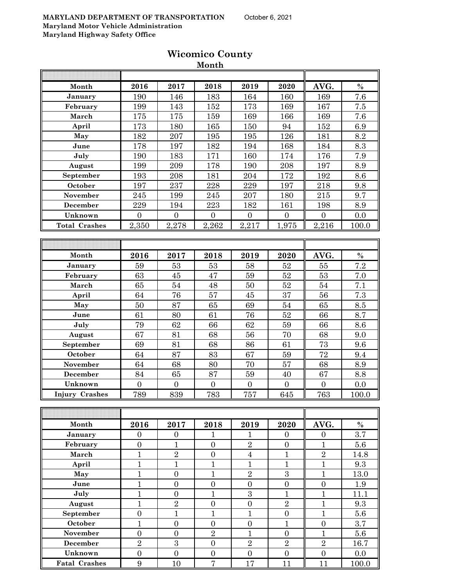|                      |                  |                  | <b>ROMANCO COMMO</b><br>Month |                |                  |                  |         |
|----------------------|------------------|------------------|-------------------------------|----------------|------------------|------------------|---------|
|                      |                  |                  |                               |                |                  |                  |         |
| Month                | 2016             | 2017             | 2018                          | 2019           | 2020             | AVG.             | $\%$    |
| January              | 190              | 146              | 183                           | 164            | 160              | 169              | 7.6     |
| February             | 199              | 143              | 152                           | 173            | 169              | 167              | 7.5     |
| March                | 175              | 175              | 159                           | 169            | 166              | 169              | 7.6     |
| April                | 173              | 180              | 165                           | 150            | 94               | 152              | 6.9     |
| May                  | 182              | 207              | 195                           | 195            | 126              | 181              | 8.2     |
| June                 | 178              | 197              | 182                           | 194            | 168              | 184              | 8.3     |
| July                 | 190              | 183              | 171                           | 160            | 174              | 176              | 7.9     |
| August               | 199              | 209              | 178                           | 190            | 208              | 197              | 8.9     |
| September            | 193              | 208              | 181                           | 204            | 172              | 192              | 8.6     |
| October              | 197              | 237              | 228                           | 229            | 197              | 218              | 9.8     |
| November             | 245              | 199              | 245                           | 207            | 180              | 215              | 9.7     |
| <b>December</b>      | 229              | 194              | 223                           | 182            | 161              | 198              | 8.9     |
| Unknown              | $\overline{0}$   | $\overline{0}$   | $\overline{0}$                | $\overline{0}$ | $\overline{0}$   | $\overline{0}$   | 0.0     |
| <b>Total Crashes</b> | 2,350            | 2,278            | 2,262                         | 2,217          | 1,975            | 2,216            | 100.0   |
|                      |                  |                  |                               |                |                  |                  |         |
|                      |                  |                  |                               |                |                  |                  |         |
| Month                | 2016             | 2017             | 2018                          | 2019           | 2020             | AVG.             | $\%$    |
| January              | 59               | 53               | 53                            | 58             | 52               | 55               | 7.2     |
| February             | 63               | 45               | 47                            | 59             | 52               | 53               | 7.0     |
| March                | 65               | 54               | 48                            | 50             | $52\,$           | 54               | 7.1     |
| April                | 64               | 76               | 57                            | 45             | 37               | 56               | 7.3     |
| May                  | 50               | 87               | 65                            | 69             | 54               | 65               | 8.5     |
| June                 | 61               | 80               | 61                            | 76             | $52\,$           | 66               | 8.7     |
| July                 | 79               | 62               | 66                            | 62             | 59               | 66               | 8.6     |
| August               | 67               | 81               | 68                            | 56             | 70               | 68               | 9.0     |
| September            | 69               | 81               | 68                            | 86             | 61               | 73               | 9.6     |
| October              | 64               | 87               | 83                            | 67             | 59               | 72               | 9.4     |
| November             | 64               | 68               | 80                            | 70             | 57               | 68               | 8.9     |
| December             | 84               | 65               | 87                            | 59             | 40               | 67               | 8.8     |
| Unknown              | $\overline{0}$   | $\overline{0}$   | $\boldsymbol{0}$              | $\overline{0}$ | $\boldsymbol{0}$ | $\boldsymbol{0}$ | $0.0\,$ |
| Injury Crashes       | 789              | 839              | 783                           | 757            | 645              | 763              | 100.0   |
|                      |                  |                  |                               |                |                  |                  |         |
|                      |                  |                  |                               |                |                  |                  |         |
| Month                | 2016             | 2017             | 2018                          | 2019           | 2020             | AVG.             | $\%$    |
| January              | $\boldsymbol{0}$ | $\boldsymbol{0}$ | $\mathbf{1}$                  | $\mathbf{1}$   | $\boldsymbol{0}$ | $\boldsymbol{0}$ | $3.7\,$ |
| February             | $\overline{0}$   | $\mathbf{1}$     | $\boldsymbol{0}$              | $\sqrt{2}$     | $\overline{0}$   | $\mathbf{1}$     | $5.6\,$ |

| March                |                | $\overline{2}$              | N              | 4              |                | $\overline{2}$ | 14.8  |
|----------------------|----------------|-----------------------------|----------------|----------------|----------------|----------------|-------|
| April                |                |                             |                |                |                |                | 9.3   |
| May                  |                |                             |                | $\overline{2}$ | 3              |                | 13.0  |
| June                 |                |                             | N              |                | 0              |                | 1.9   |
| July                 |                |                             | ⊣              | 3              |                |                | 11.1  |
| August               |                | $\mathcal{D}_{\mathcal{L}}$ | N              | $\Omega$       | $\overline{2}$ |                | 9.3   |
| September            |                |                             |                |                | 0              |                | 5.6   |
| October              |                |                             | Ω              |                |                |                | 3.7   |
| <b>November</b>      |                |                             | $\overline{2}$ |                | 0              |                | 5.6   |
| December             | $\overline{2}$ | 3                           |                | $\overline{2}$ | $\overline{2}$ | $\overline{2}$ | 16.7  |
| Unknown              |                |                             |                |                |                |                | 0.0   |
| <b>Fatal Crashes</b> | 9              | 10                          | 7              | 17             | 11             |                | 100.0 |
|                      |                |                             |                |                |                |                |       |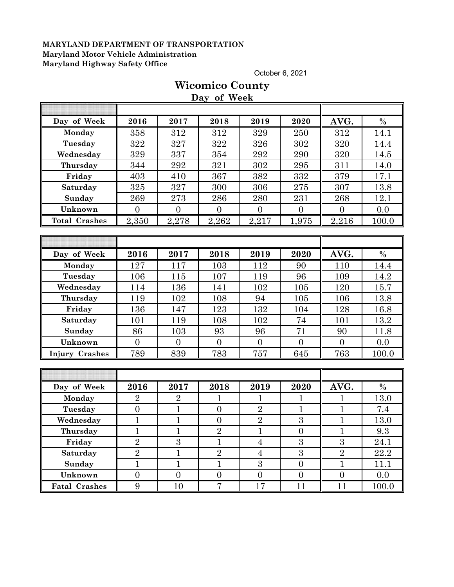October 6, 2021

|                       |                     |                     | Day of Week      |                  |                |                     |               |
|-----------------------|---------------------|---------------------|------------------|------------------|----------------|---------------------|---------------|
| Day of Week           | 2016                | 2017                | 2018             | 2019             | 2020           | AVG.                | $\%$          |
| Monday                | 358                 | 312                 | 312              | 329              | 250            | 312                 | 14.1          |
| Tuesday               | 322                 | 327                 | 322              | 326              | 302            | 320                 | 14.4          |
| Wednesday             | 329                 | 337                 | 354              | 292              | 290            | 320                 | 14.5          |
| Thursday              | 344                 | $\bf 292$           | 321              | 302              | 295            | 311                 | 14.0          |
| Friday                | 403                 | 410                 | 367              | 382              | 332            | 379                 | 17.1          |
| Saturday              | 325                 | 327                 | 300              | 306              | 275            | 307                 | 13.8          |
| Sunday                | 269                 | 273                 | 286              | $\,280$          | 231            | 268                 | 12.1          |
| Unknown               | $\overline{0}$      | $\overline{0}$      | $\mathbf{0}$     | $\overline{0}$   | $\overline{0}$ | $\overline{0}$      | 0.0           |
| <b>Total Crashes</b>  | 2,350               | 2,278               | 2,262            | 2,217            | 1,975          | 2,216               | 100.0         |
|                       |                     |                     |                  |                  |                |                     |               |
|                       |                     |                     |                  |                  |                |                     |               |
| Day of Week           | 2016                | 2017                | 2018             | 2019             | 2020           | AVG.                | $\frac{0}{0}$ |
| Monday                | 127                 | 117                 | 103              | 112              | 90             | 110                 | 14.4          |
| Tuesday               | 106                 | 115                 | 107              | 119              | 96             | 109                 | 14.2          |
| Wednesday             | 114                 | 136                 | 141              | 102              | 105            | 120                 | 15.7          |
| Thursday              | 119                 | 102                 | 108              | 94               | 105            | 106                 | 13.8          |
| Friday                | 136                 | 147                 | 123              | 132              | 104            | 128                 | 16.8          |
| Saturday              | 101                 | 119                 | 108              | 102              | 74             | 101                 | 13.2          |
| Sunday                | 86                  | 103                 | 93               | 96               | 71             | 90                  | 11.8          |
| Unknown               | $\overline{0}$      | $\overline{0}$      | $\overline{0}$   | $\overline{0}$   | $\overline{0}$ | $\overline{0}$      | 0.0           |
| <b>Injury Crashes</b> | 789                 | 839                 | 783              | 757              | 645            | 763                 | 100.0         |
|                       |                     |                     |                  |                  |                |                     |               |
|                       |                     |                     |                  |                  |                |                     |               |
| Day of Week           | 2016                | 2017                | 2018             | 2019             | 2020           | AVG.                | $\%$          |
| Monday                | $\overline{2}$      | $\overline{2}$      | $\mathbf{1}$     | 1                | $\mathbf{1}$   | $\mathbf 1$         | 13.0          |
| Tuesday               | $\overline{0}$      | $\overline{1}$      | $\overline{0}$   | $\overline{2}$   | $\overline{1}$ | $\mathbf{1}$        | 7.4           |
| Wednesday             | $\mathbf{1}$        | $\mathbf{1}$        | $\boldsymbol{0}$ | $\overline{2}$   | $\overline{3}$ | $\mathbf{1}$        | 13.0          |
| Thursday              | $\blacksquare$<br>T | $\blacksquare$<br>T | $\overline{2}$   | T                | $\overline{0}$ | $\blacksquare$<br>T | $\,9.3$       |
| Friday                | $\overline{2}$      | 3                   | $\mathbf{1}$     | $\overline{4}$   | 3              | 3                   | 24.1          |
| Saturday              | $\overline{2}$      | $\mathbf 1$         | $\overline{2}$   | $\overline{4}$   | $\overline{3}$ | $\overline{2}$      | 22.2          |
| Sunday                | $\mathbf{1}$        | $\mathbf{1}$        | $\mathbf{1}$     | 3                | $\overline{0}$ | $\mathbf{1}$        | 11.1          |
| Unknown               | $\boldsymbol{0}$    | $\boldsymbol{0}$    | $\boldsymbol{0}$ | $\boldsymbol{0}$ | $\overline{0}$ | $\boldsymbol{0}$    | 0.0           |
| <b>Fatal Crashes</b>  | $9\phantom{.0}$     | 10                  | $\overline{7}$   | 17               | 11             | 11                  | 100.0         |

## **Wicomico County Day of Week**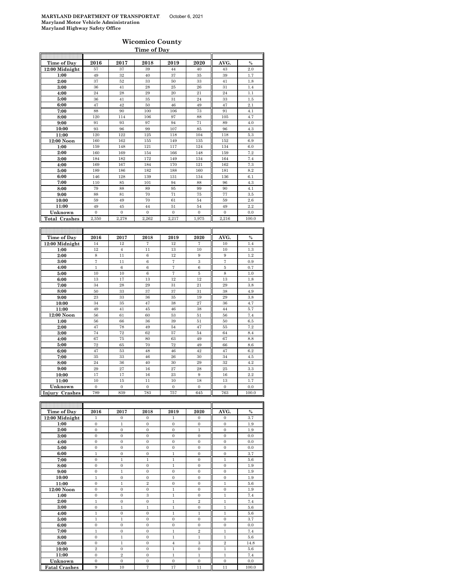#### **Wicomico County Time of Day**

| Time of Day          | 2016             | 2017             | 2018           | 2019              | 2020             | AVG.         | $\%$  |
|----------------------|------------------|------------------|----------------|-------------------|------------------|--------------|-------|
| 12:00 Midnight       | 57               | 37               | 39             | 44                | 40               | 43           | 2.0   |
| 1:00                 | 49               | 32               | 40             | 37                | 35               | 39           | 1.7   |
| 2:00                 | 37               | 52               | 33             | 50                | 33               | 41           | 1.8   |
| 3:00                 | 36               | 41               | 28             | 25                | 26               | 31           | 1.4   |
| 4:00                 | 24               | 28               | 29             | 20                | 21               | 24           | 1.1   |
| 5:00                 | 36               | 41               | 35             | 31                | 24               | 33           | 1.5   |
| 6:00                 | 47               | 42               | 50             | 46                | 49               | 47           | 2.1   |
| 7:00                 | 88               | 90               | 100            | 106               | 73               | 91           | 4.1   |
| 8:00                 | 120              | 114              | 106            | 97                | 88               | 105          | 4.7   |
| 9:00                 | 91               | 93               | 97             | 94                | 71               | 89           | 4.0   |
| 10:00                | 93               | 96               | 99             | 107               | 85               | 96           | 4.3   |
| 11:00                | 120              | 122              | 125            | 118               | 104              | 118          | 5.3   |
| 12:00 Noon           | 160              | 162              | 155            | 149               | 135              | 152          | 6.9   |
| 1:00                 | 159              | 148              | 121            | 117               | 124              | 134          | 6.0   |
| 2:00                 | 160              | 169              | 154            | 166               | 148              | 159          | 7.2   |
| 3:00                 | 184              | 182              | 172            | 149               | 134              | 164          | 7.4   |
| 4:00                 | 169              | 167              | 184            | 170               | 121              | 162          | 7.3   |
| 5:00                 | 189              | 186              | 182            | 188               | 160              | 181          | 8.2   |
| 6:00                 | 146              | 128              | 139            | 131               | 134              | 136          | 6.1   |
| 7:00                 | 110              | 85               | 101            | 94                | 88               | 96           | 4.3   |
| 8:00                 | 79               | 88               | 89             | 95                | 99               | 90           | 4.1   |
| 9:00                 | 88               | 81               | 70             | 71                | 75               | 77           | 3.5   |
| 10:00                | 59               | 49               | 70             | 61                | 54               | 59           | 2.6   |
| 11:00                | 49               | 45               | 44             | 51                | 54               | 49           | 2.2   |
| Unknown              | $\boldsymbol{0}$ | $\boldsymbol{0}$ | $\overline{0}$ | $\boldsymbol{0}$  | $\boldsymbol{0}$ | $\mathbf{0}$ | 0.0   |
| <b>Total Crashes</b> | 2,350            | 2,278            | 2,262          | 2,217             | 1,975            | 2,216        | 100.0 |
|                      |                  |                  |                |                   |                  |              |       |
|                      |                  |                  |                |                   |                  |              |       |
| Time of Day          |                  |                  |                |                   |                  |              |       |
|                      | 2016             | 2017             | 2018           | 2019              | 2020             | AVG.         | $\%$  |
| 12:00 Midnight       | 14               | 12               | 7              | 12                | 7                | 10           | 1.4   |
| 1:00                 | 12               | $\overline{4}$   | 11             | 13                | 10               | 10           | 1.3   |
| 2:00                 | 8                | 11               | 6              | 12                | 9                | 9            | 1.2   |
| 3:00                 | 7                | 11               | 6              | $\scriptstyle{7}$ | 3                | 7            | 0.9   |
| 4:00                 | 1                | 6                | 6              | $\scriptstyle{7}$ | 6                | 5            | 0.7   |
| 5:00                 | 10               | 10               | $\,6$          | $\overline{7}$    | $\bf 5$          | 8            | 1.0   |
| 6:00                 | 13               | 17               | 13             | 12                | 12               | 13           | 1.8   |
| 7:00                 | 34               | 28               | 29             | 31                | 21               | 29           | 3.8   |
| 8:00                 | 50               | 33               | 37             | 37                | 31               | 38           | 4.9   |
| 9:00                 | 23               | 33               | 36             | 35                | 19               | 29           | 3.8   |
| 10:00                | 34               | 35               | 47             | 38                | 27               | 36           | 4.7   |
| 11:00                | 49               | 41               | 45             | 46                | 38               | 44           | 5.7   |
| 12:00 Noon           | 56               | 61               | 60             | 53                | 51               | 56           | 7.4   |
| 1:00                 | 56               | 66               | 36             | 39                | 51               | 50           | 6.5   |
| 2:00                 | 47               | 78               | 49             | 54                | 47               | 55           | 7.2   |
| 3:00                 | 74               | 72               | 62             | 57                | 54               | 64           | 8.4   |
| 4:00                 | 67               | 75               | 80             | 63                | 49               | 67           | 8.8   |
| 5:00                 | 72               | 65               | 70             | 72                | 49               | 66           | 8.6   |
| 6:00                 | 47               | 53               | 48             | 46                | 42               | 47           | 6.2   |
| 7:00                 | 35               | 33               | 46             | 26                | 30               | 34           | 4.5   |
| 8:00                 | 24               | 36               | 40             | 30                | 29               | 32           | 4.2   |
| 9:00                 | 29               | 27               | 16             | 27                | 28               | 25           | 3.3   |
| 10:00                | 17               | 17               | 16             | 23                | 9                | 16           | 2.2   |
| 11:00                | 10               | 15               | 11             | 10                | 18               | 13           | 1.7   |
| Unknown              | $\Omega$         | $\Omega$         | $\Omega$       | $\Omega$          | $\theta$         | $\Omega$     | 0.0   |
| Injury Crashes       | 789              | 839              | 783            | 757               | 645              | 763          | 100.0 |
|                      |                  |                  |                |                   |                  |              |       |
| Time of Day          | 2016             | 2017             | 2018           | 2019              | 2020             | AVG.         | $\%$  |

| Time of Day          | 2016           | 2017           | 2018             | 2019           | 2020           | AVG.             | $\%$  |
|----------------------|----------------|----------------|------------------|----------------|----------------|------------------|-------|
| 12:00 Midnight       | 1              | $\mathbf{0}$   | $\mathbf{0}$     | 1              | $\mathbf{0}$   | $\mathbf{0}$     | 3.7   |
| 1:00                 | $\mathbf{0}$   | $\mathbf{1}$   | $\mathbf{0}$     | $\mathbf{0}$   | $\mathbf{0}$   | $\mathbf{0}$     | 1.9   |
| 2:00                 | $\mathbf{0}$   | $\Omega$       | $\mathbf{0}$     | $\Omega$       | $\mathbf{1}$   | $\mathbf{0}$     | 1.9   |
| 3:00                 | $\mathbf{0}$   | $\mathbf{0}$   | $\mathbf{0}$     | $\Omega$       | $\mathbf{0}$   | $\mathbf{0}$     | 0.0   |
| 4:00                 | $\mathbf{0}$   | $\mathbf{0}$   | $\mathbf{0}$     | $\mathbf{0}$   | $\mathbf{0}$   | $\mathbf{0}$     | 0.0   |
| 5:00                 | $\mathbf{0}$   | $\mathbf{0}$   | $\mathbf{0}$     | $\mathbf{0}$   | $\mathbf{0}$   | $\mathbf{0}$     | 0.0   |
| 6:00                 | $\mathbf{1}$   | $\mathbf{0}$   | $\boldsymbol{0}$ | $\,1$          | $\mathbf{0}$   | $\boldsymbol{0}$ | 3.7   |
| 7:00                 | $\mathbf{0}$   | $\mathbf{1}$   | $\mathbf{1}$     | $\mathbf{1}$   | $\mathbf{0}$   | $\mathbf{1}$     | 5.6   |
| 8:00                 | $\mathbf{0}$   | $\mathbf{0}$   | $\mathbf{0}$     | $\mathbf{1}$   | $\mathbf{0}$   | $\mathbf{0}$     | 1.9   |
| 9:00                 | $\mathbf{0}$   | $\mathbf{1}$   | $\mathbf{0}$     | $\mathbf{0}$   | $\mathbf{0}$   | $\mathbf{0}$     | 1.9   |
| 10:00                | $\mathbf{1}$   | $\mathbf{0}$   | $\mathbf{0}$     | $\mathbf{0}$   | $\mathbf{0}$   | $\mathbf{0}$     | 1.9   |
| 11:00                | $\mathbf{0}$   | $\mathbf{1}$   | $\,2\,$          | $\mathbf{0}$   | $\mathbf{0}$   | $\mathbf{1}$     | 5.6   |
| 12:00 Noon           | $\mathbf{0}$   | $\mathbf{0}$   | $\mathbf{0}$     | $\mathbf{1}$   | $\mathbf{0}$   | $\mathbf{0}$     | 1.9   |
| 1:00                 | $\mathbf{0}$   | $\Omega$       | 3                | $\mathbf{1}$   | $\mathbf{0}$   | $\mathbf{1}$     | 7.4   |
| 2:00                 | $\mathbf{1}$   | $\mathbf{0}$   | $\mathbf{0}$     | $\mathbf{1}$   | $\overline{2}$ | $\mathbf{1}$     | 7.4   |
| 3:00                 | $\mathbf{0}$   | $\mathbf{1}$   | 1                | $\mathbf{1}$   | $\mathbf{0}$   | $\mathbf{1}$     | 5.6   |
| 4:00                 | $\mathbf{1}$   | $\mathbf{0}$   | $\mathbf{0}$     | $\mathbf{1}$   | $\mathbf{1}$   | $\mathbf{1}$     | 5.6   |
| 5:00                 | $\,1$          | $\mathbf{1}$   | $\boldsymbol{0}$ | $\mathbf{0}$   | $\mathbf{0}$   | $\boldsymbol{0}$ | 3.7   |
| 6:00                 | $\mathbf{0}$   | $\mathbf{0}$   | $\mathbf{0}$     | $\mathbf{0}$   | $\mathbf{0}$   | $\mathbf{0}$     | 0.0   |
| 7:00                 | $\mathbf{1}$   | $\mathbf{0}$   | $\mathbf{0}$     | $\mathbf{1}$   | $\overline{2}$ | $\mathbf{1}$     | 7.4   |
| 8:00                 | $\mathbf{0}$   | $\mathbf{1}$   | $\mathbf{0}$     | $\mathbf{1}$   | $\mathbf{1}$   | $\mathbf{1}$     | 5.6   |
| 9:00                 | $\mathbf{0}$   | $\mathbf{1}$   | $\mathbf{0}$     | $\overline{4}$ | 3              | $\,2\,$          | 14.8  |
| 10:00                | $\overline{2}$ | $\mathbf{0}$   | $\mathbf{0}$     | $\mathbf{1}$   | $\mathbf{0}$   | 1                | 5.6   |
| 11:00                | $\mathbf{0}$   | $\overline{2}$ | $\mathbf{0}$     | $\mathbf{1}$   | $\mathbf{1}$   | $\mathbf{1}$     | 7.4   |
| Unknown              | $\mathbf{0}$   | $\mathbf{0}$   | $\mathbf{0}$     | $\mathbf{0}$   | $\mathbf{0}$   | $\mathbf{0}$     | 0.0   |
| <b>Fatal Crashes</b> | 9              | 10             | 7                | 17             | 11             | 11               | 100.0 |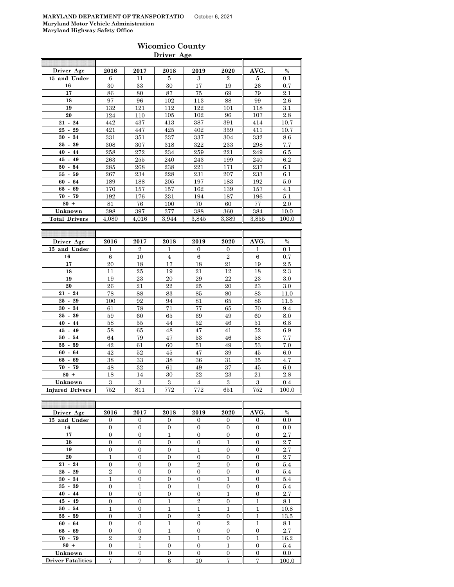|                      |       |       | Driver Age |       |                |       |               |
|----------------------|-------|-------|------------|-------|----------------|-------|---------------|
| Driver Age           | 2016  | 2017  | 2018       | 2019  | 2020           | AVG.  | $\frac{0}{0}$ |
| 15 and Under         | 6     | 11    | 5          | 3     | $\overline{2}$ | 5     | 0.1           |
| 16                   | 30    | 33    | 30         | 17    | 19             | 26    | 0.7           |
| 17                   | 86    | 80    | 87         | 75    | 69             | 79    | 2.1           |
| 18                   | 97    | 96    | 102        | 113   | 88             | 99    | 2.6           |
| 19                   | 132   | 121   | 112        | 122   | 101            | 118   | 3.1           |
| 20                   | 124   | 110   | 105        | 102   | 96             | 107   | 2.8           |
| $21 - 24$            | 442   | 437   | 413        | 387   | 391            | 414   | 10.7          |
| $25 -$<br>29         | 421   | 447   | 425        | 402   | 359            | 411   | 10.7          |
| $30 -$<br>34         | 331   | 351   | 337        | 337   | 304            | 332   | 8.6           |
| 39<br>$35 -$         | 308   | 307   | 318        | 322   | 233            | 298   | 7.7           |
| $40 - 44$            | 258   | 272   | 234        | 259   | 221            | 249   | 6.5           |
| $45 - 49$            | 263   | 255   | 240        | 243   | 199            | 240   | 6.2           |
| $50 - 54$            | 285   | 268   | 238        | 221   | 171            | 237   | 6.1           |
| $55 - 59$            | 267   | 234   | 228        | 231   | 207            | 233   | 6.1           |
| $60 - 64$            | 189   | 188   | 205        | 197   | 183            | 192   | 5.0           |
| 65 -<br>69           | 170   | 157   | 157        | 162   | 139            | 157   | 4.1           |
| $70 - 79$            | 192   | 176   | 231        | 194   | 187            | 196   | 5.1           |
| $80 +$               | 81    | 76    | 100        | 70    | 60             | 77    | $2.0\,$       |
| Unknown              | 398   | 397   | 377        | 388   | 360            | 384   | 10.0          |
| <b>Total Drivers</b> | 4,080 | 4,016 | 3,944      | 3,845 | 3,389          | 3,855 | 100.0         |

| Driver Age             | 2016 | 2017           | 2018           | 2019           | 2020           | AVG. | $\%$    |
|------------------------|------|----------------|----------------|----------------|----------------|------|---------|
| 15 and Under           | 1    | $\overline{2}$ | 1              | $\Omega$       | $\mathbf{0}$   | 1    | 0.1     |
| 16                     | 6    | 10             | $\overline{4}$ | 6              | $\overline{2}$ | 6    | 0.7     |
| 17                     | 20   | 18             | 17             | 18             | 21             | 19   | 2.5     |
| 18                     | 11   | 25             | 19             | 21             | 12             | 18   | $2.3\,$ |
| 19                     | 19   | 23             | 20             | 29             | 22             | 23   | $3.0\,$ |
| 20                     | 26   | 21             | 22             | 25             | 20             | 23   | $3.0\,$ |
| $21 - 24$              | 78   | 88             | 83             | 85             | 80             | 83   | 11.0    |
| $25 - 29$              | 100  | 92             | 94             | 81             | 65             | 86   | 11.5    |
| $30 - 34$              | 61   | 78             | 71             | 77             | 65             | 70   | 9.4     |
| $35 - 39$              | 59   | 60             | 65             | 69             | 49             | 60   | 8.0     |
| $40 - 44$              | 58   | 55             | 44             | 52             | 46             | 51   | 6.8     |
| $45 - 49$              | 58   | 65             | 48             | 47             | 41             | 52   | 6.9     |
| $50 - 54$              | 64   | 79             | 47             | 53             | 46             | 58   | 7.7     |
| $55 - 59$              | 42   | 61             | 60             | 51             | 49             | 53   | 7.0     |
| $60 - 64$              | 42   | 52             | 45             | 47             | 39             | 45   | 6.0     |
| $65 - 69$              | 38   | 33             | 38             | 36             | 31             | 35   | 4.7     |
| $70 - 79$              | 48   | 32             | 61             | 49             | 37             | 45   | 6.0     |
| $80 +$                 | 18   | 14             | 30             | 22             | 23             | 21   | 2.8     |
| Unknown                | 3    | 3              | 3              | $\overline{4}$ | 3              | 3    | 0.4     |
| <b>Injured Drivers</b> | 752  | 811            | 772            | 772            | 651            | 752  | 100.0   |

| Driver Age               | 2016           | 2017           | 2018           | 2019           | 2020           | AVG.           | $\%$  |
|--------------------------|----------------|----------------|----------------|----------------|----------------|----------------|-------|
| 15 and Under             | $\overline{0}$ | $\theta$       | $\theta$       | $\overline{0}$ | $\overline{0}$ | $\mathbf{0}$   | 0.0   |
| 16                       | $\overline{0}$ | $\overline{0}$ | $\overline{0}$ | $\Omega$       | $\overline{0}$ | $\overline{0}$ | 0.0   |
| 17                       | $\overline{0}$ | $\overline{0}$ | 1              | $\Omega$       | $\overline{0}$ | $\overline{0}$ | 2.7   |
| 18                       | $\overline{0}$ | $\overline{0}$ | $\overline{0}$ | $\Omega$       | $\mathbf{1}$   | $\overline{0}$ | 2.7   |
| 19                       | $\overline{0}$ | $\overline{0}$ | $\Omega$       | 1              | $\Omega$       | $\overline{0}$ | 2.7   |
| 20                       | 1              | $\overline{0}$ | $\theta$       | $\Omega$       | $\overline{0}$ | $\overline{0}$ | 2.7   |
| $21 - 24$                | $\overline{0}$ | $\overline{0}$ | $\Omega$       | $\overline{2}$ | $\overline{0}$ | $\overline{0}$ | 5.4   |
| $25 - 29$                | $\overline{2}$ | $\overline{0}$ | $\overline{0}$ | $\Omega$       | $\overline{0}$ | $\overline{0}$ | 5.4   |
| $30 - 34$                | $\mathbf{1}$   | $\overline{0}$ | $\overline{0}$ | $\Omega$       | $\mathbf{1}$   | $\overline{0}$ | 5.4   |
| $35 - 39$                | $\overline{0}$ | $\overline{1}$ | $\overline{0}$ | 1              | $\overline{0}$ | $\overline{0}$ | 5.4   |
| $40 - 44$                | $\overline{0}$ | $\overline{0}$ | $\overline{0}$ | $\Omega$       | $\mathbf{1}$   | $\overline{0}$ | 2.7   |
| $45 - 49$                | $\overline{0}$ | $\overline{0}$ | 1              | $\overline{2}$ | $\overline{0}$ | 1              | 8.1   |
| $50 - 54$                | 1              | $\mathbf{0}$   | 1              | 1              | $\mathbf{1}$   | 1              | 10.8  |
| $55 - 59$                | $\overline{0}$ | 3              | $\Omega$       | $\overline{2}$ | $\Omega$       | $\mathbf{1}$   | 13.5  |
| $60 - 64$                | $\overline{0}$ | $\overline{0}$ | 1              | $\Omega$       | $\overline{2}$ | $\mathbf{1}$   | 8.1   |
| $65 - 69$                | $\overline{0}$ | $\overline{0}$ | 1              | $\Omega$       | $\overline{0}$ | $\overline{0}$ | 2.7   |
| $70 - 79$                | $\overline{2}$ | $\overline{2}$ | 1              | 1              | $\overline{0}$ | 1              | 16.2  |
| $80 +$                   | $\overline{0}$ | $\overline{1}$ | $\overline{0}$ | $\Omega$       | $\mathbf{1}$   | $\overline{0}$ | 5.4   |
| Unknown                  | $\overline{0}$ | $\overline{0}$ | $\theta$       | $\theta$       | $\overline{0}$ | $\overline{0}$ | 0.0   |
| <b>Driver Fatalities</b> | 7              | 7              | 6              | 10             | 7              | $\overline{7}$ | 100.0 |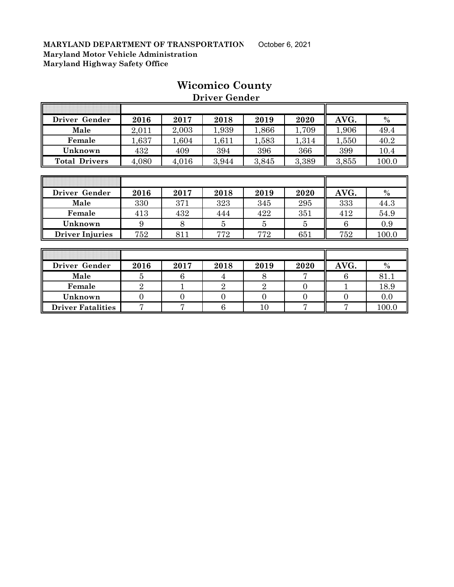|                      |       |           | --------------- |       |       |       |       |
|----------------------|-------|-----------|-----------------|-------|-------|-------|-------|
|                      |       |           |                 |       |       |       |       |
| Driver Gender        | 2016  | 2017      | 2018            | 2019  | 2020  | AVG.  | $\%$  |
| Male                 | 2,011 | 2,003     | 1,939           | 1,866 | 1,709 | 1,906 | 49.4  |
| Female               | 1,637 | .604      | .611            | 1,583 | 1,314 | 1,550 | 40.2  |
| Unknown              | 432   | 409       | 394             | 396   | 366   | 399   | 10.4  |
| <b>Total Drivers</b> | 4,080 | $4.016\,$ | 3,944           | 3,845 | 3,389 | 3,855 | 100.0 |

## **Wicomico County**

 **Driver Gender**

| Driver Gender          | 2016 | 2017 | 2018 | 2019 | 2020 | AVG. | $\frac{0}{0}$ |
|------------------------|------|------|------|------|------|------|---------------|
| Male                   | 330  | 371  | 323  | 345  | 295  | 333  | 44.3          |
| Female                 | 413  | 432  | 444  | 422  | 351  | 412  | 54.9          |
| Unknown                |      |      |      |      |      |      | 0.9           |
| <b>Driver Injuries</b> | 752  | 811  | 772  | 772  | 651  | 752  | 100.0         |

| Driver Gender            | 2016 | 2017 | 2018 | 2019 | 2020 | AVG. | $\%$  |
|--------------------------|------|------|------|------|------|------|-------|
| Male                     |      |      |      |      |      |      | 81.   |
| Female                   |      |      |      |      |      |      | 18.9  |
| Unknown                  |      |      |      |      |      |      | 0.0   |
| <b>Driver Fatalities</b> |      |      |      |      |      |      | 100.0 |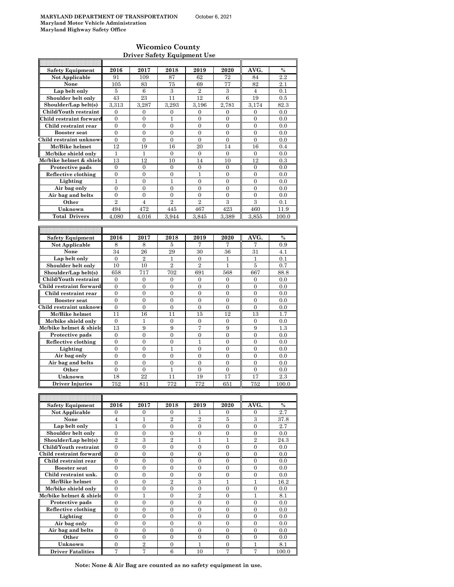$\mathsf{r}$ 

#### **Wicomico County Driver Safety Equipment Use**

| <b>Safety Equipment</b>  | 2016             | 2017             | 2018             | 2019             | 2020             | AVG.             | $\%$  |
|--------------------------|------------------|------------------|------------------|------------------|------------------|------------------|-------|
| <b>Not Applicable</b>    | 91               | 109              | 87               | 62               | 72               | 84               | 2.2   |
| None                     | 105              | 83               | 75               | 69               | 77               | 82               | 2.1   |
| Lap belt only            | 5                | 6                | $\boldsymbol{3}$ | $\boldsymbol{2}$ | 3                | $\overline{4}$   | 0.1   |
| Shoulder belt only       | 43               | 23               | 11               | 12               | 6                | 19               | 0.5   |
|                          |                  |                  |                  |                  |                  |                  |       |
| Shoulder/Lap belt(s)     | 3.313            | 3,287            | 3,293            | 3,196            | 2,781            | 3.174            | 82.3  |
| Child/Youth restraint    | $\mathbf{0}$     | 0                | 0                | 0                | 0                | $\mathbf{0}$     | 0.0   |
| Child restraint forward  | $\theta$         | $\mathbf{0}$     | $\mathbf{1}$     | $\overline{0}$   | $\overline{0}$   | $\overline{0}$   | 0.0   |
| Child restraint rear     | $\mathbf{0}$     | $\mathbf{0}$     | $\mathbf{0}$     | 0                | $\mathbf{0}$     | $\mathbf{0}$     | 0.0   |
| <b>Booster</b> seat      | $\mathbf{0}$     | $\mathbf{0}$     | $\overline{0}$   | $\overline{0}$   | $\overline{0}$   | $\overline{0}$   | 0.0   |
| Child restraint unknow   | $\mathbf{0}$     | $\mathbf{0}$     | $\overline{0}$   | 0                | $\overline{0}$   | $\mathbf{0}$     | 0.0   |
| Mc/Bike helmet           | 12               | 19               | 16               | $^{20}$          | 14               | 16               | 0.4   |
| Mc/bike shield only      | $\mathbf{1}$     | 1                | $\boldsymbol{0}$ | $\boldsymbol{0}$ | $\boldsymbol{0}$ | $\boldsymbol{0}$ | 0.0   |
| Mc/bike helmet & shield  | 13               | 12               | 10               | 14               | 10               | 12               | 0.3   |
|                          |                  |                  |                  |                  |                  |                  |       |
| Protective pads          | $\mathbf{0}$     | $\mathbf{0}$     | $\overline{0}$   | $\mathbf{0}$     | $\mathbf{0}$     | $\mathbf{0}$     | 0.0   |
| Reflective clothing      | $\boldsymbol{0}$ | $\boldsymbol{0}$ | $\boldsymbol{0}$ | 1                | $\boldsymbol{0}$ | $\boldsymbol{0}$ | 0.0   |
| Lighting                 | 1                | $\overline{0}$   | $\mathbf{1}$     | $\overline{0}$   | $\overline{0}$   | $\overline{0}$   | 0.0   |
| Air bag only             | $\boldsymbol{0}$ | $\overline{0}$   | $\overline{0}$   | $\overline{0}$   | $\boldsymbol{0}$ | $\boldsymbol{0}$ | 0.0   |
| Air bag and belts        | $\mathbf{0}$     | $\overline{0}$   | $\overline{0}$   | $\overline{0}$   | $\overline{0}$   | $\overline{0}$   | 0.0   |
| Other                    | $\overline{2}$   | $\overline{4}$   | $\overline{2}$   | $\overline{2}$   | 3                | 3                | 0.1   |
| Unknown                  | 494              | 472              | 445              | 467              | 423              | 460              | 11.9  |
| <b>Total Drivers</b>     | 4.080            | 4,016            | 3.944            | 3,845            | 3.389            | 3,855            | 100.0 |
|                          |                  |                  |                  |                  |                  |                  |       |
|                          |                  |                  |                  |                  |                  |                  |       |
|                          |                  |                  |                  |                  |                  |                  |       |
| Safety Equipment         | 2016             | 2017             | 2018             | 2019             | 2020             | AVG.             | $\%$  |
| Not Applicable           | 8                | 8                | 5                | 7                | 7                | 7                | 0.9   |
| None                     | 34               | 26               | 29               | 30               | 36               | 31               | 4.1   |
| Lap belt only            | $\mathbf{0}$     | $\overline{2}$   | 1                | 0                | 1                | 1                | 0.1   |
| Shoulder belt only       | 10               | 10               | $\overline{2}$   | $\overline{2}$   | $\mathbf{1}$     | 5                | 0.7   |
| Shoulder/Lap belt(s)     | 658              | 717              | 702              | 691              | 568              | 667              | 88.8  |
| Child/Youth restraint    | $\mathbf{0}$     | $\overline{0}$   | $\overline{0}$   | $\overline{0}$   | $\mathbf{0}$     | $\overline{0}$   | 0.0   |
| Child restraint forward  | $\mathbf{0}$     | $\mathbf{0}$     | $\overline{0}$   | $\overline{0}$   | $\overline{0}$   | $\overline{0}$   | 0.0   |
| Child restraint rear     | $\mathbf{0}$     | $\mathbf{0}$     | $\overline{0}$   | $\overline{0}$   | $\overline{0}$   | $\overline{0}$   | 0.0   |
| <b>Booster seat</b>      | $\boldsymbol{0}$ | $\boldsymbol{0}$ | $\boldsymbol{0}$ | 0                | $\boldsymbol{0}$ | 0                | 0.0   |
|                          |                  |                  |                  |                  |                  |                  |       |
| Child restraint unknow:  | 0                | 0                | $\boldsymbol{0}$ | 0                | $\boldsymbol{0}$ | $\boldsymbol{0}$ | 0.0   |
| Mc/Bike helmet           | 11               | 16               | 11               | 15               | 12               | 13               | 1.7   |
| Mc/bike shield only      | 0                | 1                | 0                | 0                | $\mathbf{0}$     | $\boldsymbol{0}$ | 0.0   |
| Mc/bike helmet & shield  | 13               | 9                | 9                | 7                | 9                | 9                | 1.3   |
| Protective pads          | $\boldsymbol{0}$ | $\mathbf{0}$     | $\overline{0}$   | $\boldsymbol{0}$ | $\boldsymbol{0}$ | $\boldsymbol{0}$ | 0.0   |
| Reflective clothing      | $\mathbf{0}$     | $\overline{0}$   | $\overline{0}$   | $\mathbf{1}$     | $\overline{0}$   | $\overline{0}$   | 0.0   |
| Lighting                 | $\mathbf{0}$     | $\mathbf{0}$     | $\mathbf{1}$     | $\overline{0}$   | $\overline{0}$   | $\overline{0}$   | 0.0   |
| Air bag only             | $\overline{0}$   | $\overline{0}$   | $\overline{0}$   | $\overline{0}$   | $\overline{0}$   | $\overline{0}$   | 0.0   |
| Air bag and belts        | $\boldsymbol{0}$ | $\overline{0}$   | $\boldsymbol{0}$ | $\overline{0}$   | $\boldsymbol{0}$ | 0                | 0.0   |
| Other                    | 0                | 0                | 1                | 0                | 0                | $\mathbf{0}$     |       |
|                          |                  |                  |                  |                  |                  |                  | 0.0   |
| Unknown                  | 18               | 22               | 11               | 19               | 17               | 17               | 2.3   |
| <b>Driver Injuries</b>   | 752              | 811              | 772              | 772              | 651              | 752              | 100.0 |
|                          |                  |                  |                  |                  |                  |                  |       |
|                          |                  |                  |                  |                  |                  |                  |       |
| <b>Safety Equipment</b>  | 2016             | 2017             | 2018             | 2019             | 2020             | AVG.             | %     |
| Not Applicable           | 0                | $\mathbf{0}$     | 0                | ı                | 0                | $\mathbf{0}$     | 2.7   |
| None                     | $\overline{4}$   | 1                | $\overline{2}$   | 2                | 5                | 3                | 37.8  |
| Lap belt only            | 1                | $\mathbf{0}$     | $\overline{0}$   | $\overline{0}$   | $\overline{0}$   | $\overline{0}$   | 2.7   |
| Shoulder belt only       | $\boldsymbol{0}$ | $\boldsymbol{0}$ | $\boldsymbol{0}$ | 0                | $\boldsymbol{0}$ | $\boldsymbol{0}$ | 0.0   |
| Shoulder/Lap belt(s)     | $\overline{2}$   | 3                | $\overline{2}$   | $\mathbf{1}$     | $\mathbf{1}$     | $\overline{2}$   | 24.3  |
|                          |                  |                  |                  |                  |                  |                  |       |
| Child/Youth restraint    | $\boldsymbol{0}$ | $\boldsymbol{0}$ | $\boldsymbol{0}$ | 0                | $\boldsymbol{0}$ | $\boldsymbol{0}$ | 0.0   |
| Child restraint forward  | 0                | 0                | $\boldsymbol{0}$ | 0                | $\overline{0}$   | $\boldsymbol{0}$ | 0.0   |
| Child restraint rear     | $\boldsymbol{0}$ | $\boldsymbol{0}$ | $\mathbf{0}$     | 0                | $\boldsymbol{0}$ | $\boldsymbol{0}$ | 0.0   |
| Booster seat             | $\boldsymbol{0}$ | $\boldsymbol{0}$ | $\boldsymbol{0}$ | 0                | $\boldsymbol{0}$ | $\boldsymbol{0}$ | 0.0   |
| Child restraint unk.     | $\mathbf{0}$     | $\boldsymbol{0}$ | $\mathbf{0}$     | 0                | $\boldsymbol{0}$ | $\mathbf{0}$     | 0.0   |
| Mc/Bike helmet           | $\boldsymbol{0}$ | $\boldsymbol{0}$ | $\overline{2}$   | 3                | 1                | 1                | 16.2  |
| Mc/bike shield only      | $\boldsymbol{0}$ | $\boldsymbol{0}$ | $\mathbf{0}$     | $\overline{0}$   | $\mathbf{0}$     | $\boldsymbol{0}$ | 0.0   |
| Mc/bike helmet & shield  | $\mathbf{0}$     | 1                | $\overline{0}$   | $\overline{2}$   | $\overline{0}$   | 1                | 8.1   |
| Protective pads          | 0                | $\mathbf{0}$     | $\overline{0}$   | 0                | $\boldsymbol{0}$ | $\overline{0}$   | 0.0   |
| Reflective clothing      | $\boldsymbol{0}$ | $\boldsymbol{0}$ | $\boldsymbol{0}$ | $\boldsymbol{0}$ | $\boldsymbol{0}$ | $\boldsymbol{0}$ | 0.0   |
| Lighting                 | 0                | 0                | 0                | 0                | 0                | $\mathbf{0}$     | 0.0   |
|                          |                  |                  | $\overline{0}$   |                  | $\overline{0}$   |                  |       |
| Air bag only             | $\mathbf{0}$     | $\mathbf{0}$     |                  | $\overline{0}$   |                  | $\boldsymbol{0}$ | 0.0   |
| Air bag and belts        | $\boldsymbol{0}$ | $\mathbf{0}$     | $\boldsymbol{0}$ | 0                | 0                | $\mathbf{0}$     | 0.0   |
| Other                    | $\mathbf{0}$     | $\mathbf{0}$     | $\overline{0}$   | 0                | $\mathbf{0}$     | $\boldsymbol{0}$ | 0.0   |
| Unknown                  | $\boldsymbol{0}$ | $\,2$            | $\boldsymbol{0}$ | $\mathbf{1}$     | 0                | 1                | 8.1   |
| <b>Driver Fatalities</b> | 7                | 7                | 6                | 10               | 7                | 7                | 100.0 |

**Note: None & Air Bag are counted as no safety equipment in use.**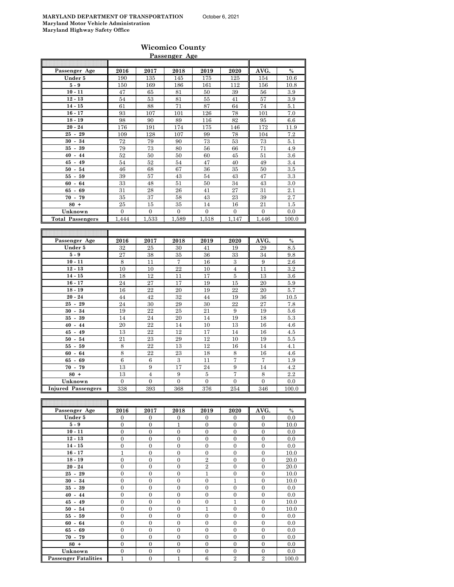#### **Wicomico County Passenger Age**

| Passenger Age             | 2016                  | 2017                  | 2018                  | 2019                | 2020                  | AVG.                  | $\%$       |
|---------------------------|-----------------------|-----------------------|-----------------------|---------------------|-----------------------|-----------------------|------------|
| Under 5                   | 190                   | 135                   | 145                   | 175                 | 125                   | 154                   | 10.6       |
| $5-9$                     | 150                   | 169                   | 186                   | 161                 | 112                   | 156                   | 10.8       |
|                           |                       |                       |                       |                     |                       |                       |            |
| $10 - 11$                 | 47                    | 65                    | 81                    | 50                  | 39                    | 56                    | $\!.9$     |
| $12 - 13$                 | 54                    | 53                    | 81                    | 55                  | 41                    | 57                    | 3.9        |
| $14 - 15$                 | 61                    | 88                    | 71                    | 87                  | 64                    | 74                    | 5.1        |
| $16 - 17$                 | 93                    | 107                   | 101                   | 126                 | 78                    | 101                   | 7.0        |
| $18 - 19$                 | 98                    | 90                    | 89                    | 116                 | 82                    | 95                    | 6.6        |
| $20 - 24$                 | 176                   | 191                   | 174                   | 175                 | 146                   | 172                   | 11.9       |
| $25 - 29$                 | 109                   | 128                   | 107                   | 99                  | 78                    | 104                   | $\!\!7.2$  |
| $30 - 34$                 |                       |                       |                       | 73                  | 53                    | 73                    |            |
|                           | 72                    | 79                    | 90                    |                     |                       |                       | 5.1        |
| $35 - 39$                 | 79                    | 73                    | 80                    | 56                  | 66                    | 71                    | 4.9        |
| $40 - 44$                 | 52                    | 50                    | 50                    | 60                  | 45                    | 51                    | 3.6        |
| $45 - 49$                 | 54                    | 52                    | 54                    | 47                  | 40                    | 49                    | 3.4        |
| $50 - 54$                 | 46                    | 68                    | 67                    | 36                  | 35                    | 50                    | 3.5        |
| $55 - 59$                 | 39                    | 57                    | 43                    | 54                  | 43                    | 47                    | 3.3        |
| $60 - 64$                 | 33                    | 48                    | 51                    | 50                  | 34                    | 43                    | 3.0        |
| $65 - 69$                 | 31                    |                       |                       | 41                  | 27                    |                       | 2.1        |
|                           |                       | 28                    | 26                    |                     |                       | 31                    |            |
| $70 - 79$                 | 35                    | 37                    | 58                    | 43                  | 23                    | 39                    | 2.7        |
| $80 +$                    | 25                    | 15                    | 35                    | 14                  | 16                    | 21                    | 1.5        |
| Unknown                   | $\overline{0}$        | $\mathbf{0}$          | $\overline{0}$        | $\mathbf{0}$        | $\overline{0}$        | $\boldsymbol{0}$      | 0.0        |
| <b>Total Passengers</b>   | 1,444                 | 1,533                 | 1,589                 | 1,518               | 1,147                 | 1,446                 | 100.0      |
|                           |                       |                       |                       |                     |                       |                       |            |
|                           |                       |                       |                       |                     |                       |                       |            |
|                           |                       |                       |                       |                     |                       |                       |            |
| Passenger Age             | 2016                  | 2017                  | 2018                  | 2019                | 2020                  | AVG.                  | $\%$       |
| Under 5                   | 32                    | 25                    | 30                    | 41                  | 19                    | 29                    | 8.5        |
| $5-9$                     | 27                    | 38                    | 35                    | 36                  | 33                    | 34                    | 9.8        |
| $10 - 11$                 | 8                     | 11                    | 7                     | 16                  | 3                     | 9                     | 2.6        |
| $12 - 13$                 | 10                    | 10                    | 22                    | 10                  | $\overline{4}$        | 11                    | 3.2        |
| $14 - 15$                 | 18                    | 12                    | 11                    | 17                  | 5                     | 13                    | 3.6        |
|                           |                       | 27                    |                       |                     | 15                    | 20                    |            |
| $16 - 17$                 | 24                    |                       | 17                    | 19                  |                       |                       | 5.9        |
| $18 - 19$                 | 16                    | 22                    | 20                    | 19                  | 22                    | 20                    | 5.7        |
| $20 - 24$                 | 44                    | 42                    | 32                    | 44                  | 19                    | 36                    | 10.5       |
| $25 - 29$                 | 24                    | 30                    | $\,29$                | 30                  | 22                    | 27                    | 7.8        |
| $30 - 34$                 | 19                    | 22                    | 25                    | 21                  | 9                     | 19                    | 5.6        |
|                           |                       |                       |                       |                     |                       |                       |            |
|                           |                       |                       |                       |                     |                       |                       |            |
| $35 - 39$                 | 14                    | 24                    | 20                    | 14                  | 19                    | 18                    | 5.3        |
| $40 - 44$                 | 20                    | 22                    | 14                    | 10                  | 13                    | 16                    | 4.6        |
| $45 - 49$                 | 13                    | 22                    | 12                    | 17                  | 14                    | 16                    | 4.5        |
| $50 - 54$                 | 21                    | 23                    | 29                    | 12                  | 10                    | 19                    | 5.5        |
| $55 - 59$                 | 8                     | 22                    | 13                    | 12                  | 16                    | 14                    | 4.1        |
| $60 - 64$                 | 8                     | 22                    | 23                    | 18                  | 8                     | 16                    | 4.6        |
| $65 - 69$                 | $\,6$                 | 6                     | 3                     | 11                  | 7                     | 7                     | 1.9        |
|                           |                       |                       |                       |                     |                       |                       |            |
| $70 - 79$                 | 13                    | 9                     | 17                    | 24                  | 9                     | 14                    | 4.2        |
| $80 +$                    | 13                    | $\overline{4}$        | 9                     | 5                   | 7                     | 8                     | $2.2\,$    |
| Unknown                   | $\overline{0}$        | $\boldsymbol{0}$      | $\boldsymbol{0}$      | $\boldsymbol{0}$    | $\overline{0}$        | $\overline{0}$        | 0.0        |
| <b>Injured Passengers</b> | 338                   | 393                   | 368                   | 376                 | 254                   | 346                   | 100.0      |
|                           |                       |                       |                       |                     |                       |                       |            |
|                           |                       |                       |                       |                     |                       |                       |            |
| Passenger Age             | 2016                  | 2017                  | 2018                  | 2019                | 2020                  | AVG.                  | $\%$       |
| Under 5                   | 0                     | 0                     | 0                     | 0                   | 0                     | 0                     | 0.0        |
|                           |                       |                       |                       |                     |                       |                       |            |
| $5-9$                     | $\boldsymbol{0}$      | $\boldsymbol{0}$      | $\mathbf{1}$          | $\boldsymbol{0}$    | $\overline{0}$        | $\overline{0}$        | 10.0       |
| $10 - 11$                 | 0                     | 0                     | $\mathbf{0}$          | 0                   | 0                     | 0                     | 0.0        |
| $12 - 13$                 | $\overline{0}$        | $\boldsymbol{0}$      | $\boldsymbol{0}$      | $\overline{0}$      | $\overline{0}$        | $\boldsymbol{0}$      | 0.0        |
| $14 - 15$                 | 0                     | $\boldsymbol{0}$      | $\boldsymbol{0}$      | $\mathbf{0}$        | 0                     | 0                     | 0.0        |
| $16 - 17$                 | 1                     | 0                     | 0                     | $\mathbf{0}$        | $\boldsymbol{0}$      | 0                     | 10.0       |
| $18 - 19$                 | $\overline{0}$        | $\boldsymbol{0}$      | $\boldsymbol{0}$      | $\overline{2}$      | $\boldsymbol{0}$      | 0                     | 20.0       |
| $20 - 24$                 | $\boldsymbol{0}$      | $\boldsymbol{0}$      | $\boldsymbol{0}$      | $\,2$               | $\boldsymbol{0}$      | $\boldsymbol{0}$      | 20.0       |
| $25 - 29$                 | $\mathbf{0}$          | $\boldsymbol{0}$      | $\boldsymbol{0}$      | $\mathbf{1}$        | $\boldsymbol{0}$      | $\boldsymbol{0}$      | 10.0       |
|                           |                       |                       |                       |                     |                       |                       |            |
| $30 - 34$                 | $\boldsymbol{0}$      | 0                     | $\boldsymbol{0}$      | $\boldsymbol{0}$    | 1                     | 0                     | 10.0       |
| $35 - 39$                 | 0                     | $\overline{0}$        | $\overline{0}$        | $\mathbf{0}$        | $\overline{0}$        | $\overline{0}$        | 0.0        |
| $40 - 44$                 | $\boldsymbol{0}$      | 0                     | $\boldsymbol{0}$      | $\boldsymbol{0}$    | $\boldsymbol{0}$      | 0                     | 0.0        |
| $45 - 49$                 | $\boldsymbol{0}$      | 0                     | $\boldsymbol{0}$      | $\boldsymbol{0}$    | 1                     | 0                     | 10.0       |
| $50 - 54$                 | $\boldsymbol{0}$      | 0                     | $\boldsymbol{0}$      | $\mathbf{1}$        | $\boldsymbol{0}$      | $\boldsymbol{0}$      | 10.0       |
| $55 - 59$                 | $\mathbf{0}$          | 0                     | $\mathbf{0}$          | 0                   | 0                     | 0                     | 0.0        |
| $60 - 64$                 |                       |                       |                       |                     |                       | $\overline{0}$        |            |
|                           | $\mathbf{0}$          | $\boldsymbol{0}$      | $\boldsymbol{0}$      | $\boldsymbol{0}$    | $\boldsymbol{0}$      |                       | 0.0        |
| $65 - 69$<br>$70 - 79$    | 0<br>$\boldsymbol{0}$ | 0<br>$\boldsymbol{0}$ | 0<br>$\boldsymbol{0}$ | 0<br>$\overline{0}$ | 0<br>$\boldsymbol{0}$ | 0<br>$\boldsymbol{0}$ | 0.0<br>0.0 |

**80 +** 0 0 0 0 0 0 0.0 **Unknown** 0 0 0 0 0 0 0.0

**Passenger Fatalities**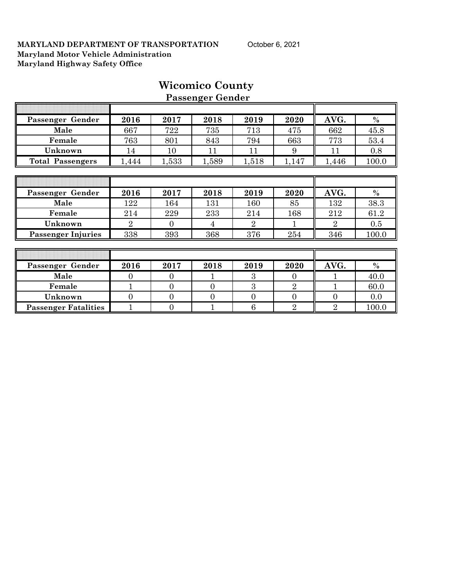|                             |                |                  | r assenger ochaer |                 |                |                |               |
|-----------------------------|----------------|------------------|-------------------|-----------------|----------------|----------------|---------------|
|                             |                |                  |                   |                 |                |                |               |
| Passenger Gender            | 2016           | 2017             | 2018              | 2019            | 2020           | AVG.           | $\frac{0}{0}$ |
| Male                        | 667            | 722              | 735               | 713             | 475            | 662            | 45.8          |
| Female                      | 763            | 801              | 843               | 794             | 663            | 773            | 53.4          |
| Unknown                     | 14             | 10               | 11                | 11              | 9              | 11             | 0.8           |
| <b>Total Passengers</b>     | 1,444          | 1,533            | 1,589             | 1,518           | 1,147          | 1,446          | 100.0         |
|                             |                |                  |                   |                 |                |                |               |
|                             |                |                  |                   |                 |                |                |               |
| Passenger Gender            | 2016           | 2017             | 2018              | 2019            | 2020           | AVG.           | $\%$          |
| Male                        | 122            | 164              | 131               | 160             | 85             | 132            | 38.3          |
| Female                      | 214            | 229              | 233               | 214             | 168            | 212            | 61.2          |
| Unknown                     | $\overline{2}$ | $\overline{0}$   | 4                 | $\overline{2}$  |                | $\overline{2}$ | 0.5           |
| <b>Passenger Injuries</b>   | 338            | 393              | 368               | 376             | 254            | 346            | 100.0         |
|                             |                |                  |                   |                 |                |                |               |
|                             |                |                  |                   |                 |                |                |               |
| Passenger Gender            | 2016           | 2017             | 2018              | 2019            | 2020           | AVG.           | $\%$          |
| Male                        | $\theta$       | $\overline{0}$   |                   | 3               | $\Omega$       |                | 40.0          |
| Female                      | $\mathbf{1}$   | $\overline{0}$   | $\Omega$          | 3               | $\overline{2}$ |                | 60.0          |
| Unknown                     | $\overline{0}$ | $\overline{0}$   | $\overline{0}$    | $\mathbf{0}$    | $\overline{0}$ | $\overline{0}$ | 0.0           |
| <b>Passenger Fatalities</b> |                | $\boldsymbol{0}$ |                   | $6\phantom{.}6$ | $\overline{2}$ | $\overline{2}$ | 100.0         |

## **Wicomico County Passenger Gender**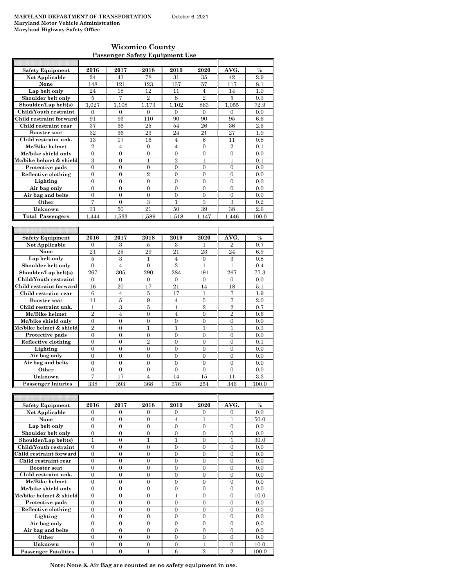#### **Wicomico County Passenger Safety Equipment Use**

| <b>Safety Equipment</b>                   | 2016             | 2017           | 2018             | 2019           | 2020           | AVG.                   | $\frac{0}{0}$        |
|-------------------------------------------|------------------|----------------|------------------|----------------|----------------|------------------------|----------------------|
| Not Applicable                            | 24               | 43             | 78               | 31             | 35             | 42                     | 2.9                  |
| None                                      | 148              | 121            | 123              | 137            | 57             | 117                    | 8.1                  |
| Lap belt only                             | 24               | 18             | 12               | 11             | $\overline{4}$ | 14                     | 1.0                  |
| Shoulder belt only                        | $\overline{5}$   | $\overline{7}$ | $\overline{2}$   | 8              | $\overline{2}$ | $\overline{5}$         | 0.3                  |
| Shoulder/Lap belt(s)                      | 1.027            | 1.108          | 1.173            | 1.102          | 863            | 1.055                  | 72.9                 |
| Child/Youth restraint                     | $\overline{0}$   | $\overline{0}$ | $\overline{0}$   | $\mathbf{0}$   | $\mathbf{0}$   | $\overline{0}$         | 0.0                  |
| Child restraint forward                   | 91               | 93             | 110              | 90             | 90             | 95                     | 6.6                  |
| Child restraint rear                      | 37               | 36             | 25               | 54             | 26             | 36                     | 2.5                  |
| <b>Booster</b> seat                       | 32               | 36             | 23               | 24             | 21             | 27                     | 1.9                  |
| Child restraint unk.                      | 13               | 17             | 16               | $\overline{4}$ | 6              | 11                     | 0.8                  |
| Mc/Bike helmet                            | $\overline{2}$   | $\overline{4}$ | $\mathbf{0}$     | 4              | $\mathbf{0}$   | $\overline{2}$         | 0.1                  |
| Mc/bike shield only                       | $\Omega$         | $\theta$       | $\theta$         | $\theta$       | $\theta$       | $\theta$               | 0.0                  |
| Mc/bike helmet & shield                   | 3                | $\Omega$       | 1                | $\overline{2}$ | 1              | 1                      | 0.1                  |
| Protective pads                           | $\overline{0}$   | $\overline{0}$ | $\overline{0}$   | $\overline{0}$ | $\overline{0}$ | $\overline{0}$         | 0.0                  |
| Reflective clothing                       | $\overline{0}$   | $\mathbf{0}$   | $\overline{2}$   | $\mathbf{0}$   | $\mathbf{0}$   | $\mathbf{0}$           | $_{0.0}$             |
| Lighting                                  | $\overline{0}$   | $\overline{0}$ | $\overline{0}$   | $\overline{0}$ | $\overline{0}$ | $\overline{0}$         | 0.0                  |
| Air bag only                              | $\theta$         | $\theta$       | $\theta$         | $\Omega$       | $\Omega$       | $\theta$               | 0.0                  |
| Air bag and belts                         | $\overline{0}$   | $\overline{0}$ | $\overline{0}$   | $\overline{0}$ | $\overline{0}$ | $\overline{0}$         | 0.0                  |
| Other                                     | 7                | $\overline{0}$ | 3                | 1              | 3              | 3                      | 0.2                  |
| Unknown                                   | 31               | 50             | $^{21}$          | 50             | 39             | 38                     | 2.6                  |
| <b>Total Passengers</b>                   | 1.444            | 1,533          | 1,589            | 1.518          | 1.147          | 1.446                  | 100.0                |
|                                           |                  |                |                  |                |                |                        |                      |
|                                           |                  |                |                  |                |                |                        |                      |
| <b>Safety Equipment</b><br>Not Applicable | 2016<br>$\Omega$ | 2017<br>3      | 2018<br>5        | 2019<br>3      | 2020<br>1      | AVG.<br>$\overline{2}$ | $\frac{0}{0}$<br>0.7 |
| None                                      | 21               | 25             | 29               | 21             | 23             | 24                     | 6.9                  |
| Lap belt only                             | 5                | 3              | 1                | $\overline{4}$ | $\Omega$       | 3                      | 0.8                  |
| Shoulder belt only                        | $\boldsymbol{0}$ | $\overline{4}$ | $\boldsymbol{0}$ | $\overline{2}$ | $\mathbf{1}$   | $\mathbf{1}$           | 0.4                  |
| Shoulder/Lap belt(s)                      | 267              | 305            | 290              | 284            | 191            | 267                    | 77.3                 |
| Child/Youth restraint                     | $\mathbf{0}$     | $\mathbf{0}$   | $\mathbf{0}$     | $\mathbf{0}$   | $\mathbf{0}$   | $\mathbf{0}$           | 0.0                  |
| Child restraint forward                   | 16               | 20             | 17               | 21             | 14             | 18                     | 5.1                  |
| Child restraint rear                      | 6                | $\overline{4}$ | 5                | 17             | 1              | 7                      | 1.9                  |
| <b>Booster</b> seat                       | 11               | 5              | 9                | $\overline{4}$ | 5              | 7                      | 2.0                  |
| Child restraint unk.                      | $\mathbf{1}$     | 3              | 5                | $\mathbf{1}$   | $\overline{2}$ | $\overline{2}$         | 0.7                  |
| Mc/Bike helmet                            | $\overline{2}$   | $\overline{4}$ | $\theta$         | $\overline{4}$ | $\overline{0}$ | $\overline{2}$         | 0.6                  |
| Mc/bike shield only                       | $\overline{0}$   | $\overline{0}$ | $\overline{0}$   | $\overline{0}$ | $\overline{0}$ | $\overline{0}$         | 0.0                  |
| Mc/bike helmet & shield                   | $\overline{2}$   | $\overline{0}$ | 1                | 1              | 1              | 1                      | 0.3                  |
| Protective pads                           | $\theta$         | $\theta$       | $\theta$         | $\theta$       | $\theta$       | $\theta$               | 0.0                  |
| Reflective clothing                       | $\overline{0}$   | $\overline{0}$ | $\overline{2}$   | $\overline{0}$ | $\overline{0}$ | $\overline{0}$         | 0.1                  |
| Lighting                                  | $\overline{0}$   | $\overline{0}$ | $\overline{0}$   | $\overline{0}$ | $\theta$       | $\theta$               | 0.0                  |
| Air bag only                              | $\overline{0}$   | $\overline{0}$ | $\overline{0}$   | $\mathbf{0}$   | $\mathbf{0}$   | $\overline{0}$         | 0.0                  |
| Air bag and belts                         | $\overline{0}$   | $\overline{0}$ | $\overline{0}$   | $\overline{0}$ | $\overline{0}$ | $\overline{0}$         | 0.0                  |
| Other                                     | $\overline{0}$   | $\overline{0}$ | $\theta$         | $\mathbf{0}$   | $\overline{0}$ | $\overline{0}$         | 0.0                  |
| Unknown                                   | $\overline{7}$   | 17             | $\overline{4}$   | 14             | 15             | 11                     | 3.3                  |
|                                           |                  |                |                  |                |                |                        |                      |
| <b>Passenger Injuries</b>                 | 338              | 393            | 368              | 376            | 254            | 346                    | 100.0                |
|                                           |                  |                |                  |                |                |                        |                      |

| <b>Safety Equipment</b>     | 2016     | 2017     | 2018     | 2019           | 2020           | AVG.           | $\frac{0}{0}$ |
|-----------------------------|----------|----------|----------|----------------|----------------|----------------|---------------|
| Not Applicable              | $\Omega$ | $\Omega$ | $\Omega$ | $\Omega$       | $\Omega$       | $\Omega$       | 0.0           |
| None                        | $\theta$ | $\Omega$ | $\Omega$ | 4              |                |                | 50.0          |
| Lap belt only               | $\Omega$ | $\Omega$ | $\Omega$ | $\Omega$       | $\Omega$       | $\Omega$       | 0.0           |
| Shoulder belt only          | $\Omega$ | $\Omega$ | $\Omega$ | $\Omega$       | $\Omega$       | $\Omega$       | 0.0           |
| Shoulder/Lap belt(s)        | 1        | $\Omega$ |          |                | $\Omega$       |                | 30.0          |
| Child/Youth restraint       | $\theta$ | 0        | $\Omega$ | $\theta$       | $\theta$       | $\theta$       | 0.0           |
| Child restraint forward     | $\Omega$ | $\Omega$ | $\Omega$ | $\Omega$       | $\Omega$       | $\Omega$       | 0.0           |
| Child restraint rear        | $\Omega$ | $\Omega$ | $\Omega$ | $\Omega$       | $\Omega$       | $\Omega$       | 0.0           |
| <b>Booster seat</b>         | $\theta$ | 0        | 0        | $\overline{0}$ | $\overline{0}$ | $\Omega$       | 0.0           |
| Child restraint unk.        | $\Omega$ | $\Omega$ | $\Omega$ | $\Omega$       | $\Omega$       | $\Omega$       | 0.0           |
| Mc/Bike helmet              | $\Omega$ | $\Omega$ | $\Omega$ | $\theta$       | $\theta$       | $\theta$       | 0.0           |
| Mc/bike shield only         | $\Omega$ | $\Omega$ | $\Omega$ | $\Omega$       | $\Omega$       | $\Omega$       | 0.0           |
| Mc/bike helmet & shield     | $\theta$ | $\Omega$ | $\Omega$ | 1              | $\Omega$       | $\Omega$       | 10.0          |
| Protective pads             | $\Omega$ | $\Omega$ | $\Omega$ | $\Omega$       | $\Omega$       | $\Omega$       | 0.0           |
| Reflective clothing         | $\Omega$ | $\Omega$ | $\Omega$ | $\Omega$       | $\Omega$       | $\Omega$       | 0.0           |
| Lighting                    | $\Omega$ | $\Omega$ | $\Omega$ | $\theta$       | $\Omega$       | $\Omega$       | 0.0           |
| Air bag only                | $\Omega$ | $\Omega$ | $\Omega$ | $\Omega$       | $\Omega$       | $\Omega$       | 0.0           |
| Air bag and belts           | $\Omega$ | $\Omega$ | $\Omega$ | $\Omega$       | $\Omega$       | $\Omega$       | 0.0           |
| Other                       | $\Omega$ | $\Omega$ | $\Omega$ | $\Omega$       | $\Omega$       | $\Omega$       | 0.0           |
| Unknown                     | $\Omega$ | $\Omega$ | $\Omega$ | $\Omega$       | 1              | $\Omega$       | 10.0          |
| <b>Passenger Fatalities</b> |          | 0        |          | 6              | $\overline{2}$ | $\overline{2}$ | 100.0         |

**Note: None & Air Bag are counted as no safety equipment in use.**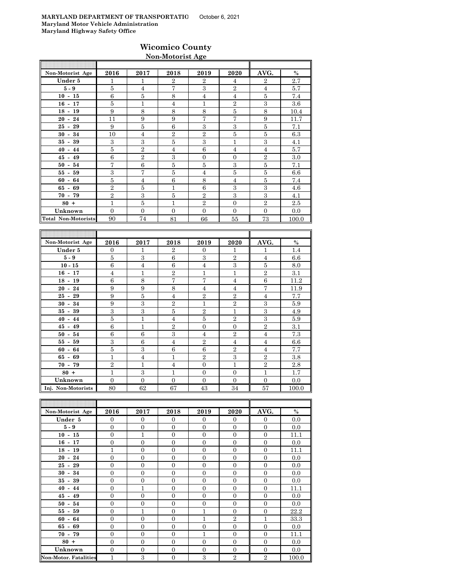### **Wicomico County Non-Motorist Age**

| Non-Motorist Age           | 2016           | 2017           | 2018           | 2019           | 2020           | AVG.           | $\%$  |
|----------------------------|----------------|----------------|----------------|----------------|----------------|----------------|-------|
| Under 5                    | 1              | 1              | $\overline{2}$ | $\overline{2}$ | 4              | $\overline{2}$ | 2.7   |
| $5-9$                      | 5              | $\overline{4}$ | 7              | 3              | $\overline{2}$ | $\overline{4}$ | 5.7   |
| $10 - 15$                  | 6              | 5              | 8              | $\overline{4}$ | $\overline{4}$ | 5              | 7.4   |
| $16 - 17$                  | 5              | $\mathbf{1}$   | $\overline{4}$ | $\mathbf{1}$   | $\overline{2}$ | 3              | 3.6   |
| $18 - 19$                  | 9              | 8              | 8              | 8              | 5              | 8              | 10.4  |
| $20 - 24$                  | 11             | 9              | 9              | 7              | 7              | 9              | 11.7  |
| $25 - 29$                  | 9              | 5              | 6              | 3              | 3              | 5              | 7.1   |
| $30 - 34$                  | 10             | $\overline{4}$ | $\overline{2}$ | $\overline{2}$ | 5              | 5              | 6.3   |
| $35 - 39$                  | 3              | 3              | 5              | 3              | 1              | 3              | 4.1   |
| $40 - 44$                  | 5              | $\overline{2}$ | $\overline{4}$ | 6              | $\overline{4}$ | $\overline{4}$ | 5.7   |
| $45 - 49$                  | 6              | $\overline{2}$ | 3              | $\Omega$       | $\overline{0}$ | $\overline{2}$ | 3.0   |
| $50 - 54$                  | $\overline{7}$ | 6              | 5              | 5              | 3              | 5              | 7.1   |
| $55 - 59$                  | 3              | 7              | 5              | $\overline{4}$ | 5              | 5              | 6.6   |
| $60 - 64$                  | 5              | 4              | 6              | 8              | $\overline{4}$ | 5              | 7.4   |
| $65 - 69$                  | $\overline{2}$ | 5              | 1              | 6              | 3              | 3              | 4.6   |
| $70 - 79$                  | $\overline{2}$ | 3              | 5              | $\overline{2}$ | 3              | 3              | 4.1   |
| $80 +$                     | $\overline{1}$ | 5              | 1              | $\overline{2}$ | $\mathbf{0}$   | $\overline{2}$ | 2.5   |
| Unknown                    | $\overline{0}$ | $\overline{0}$ | $\Omega$       | $\overline{0}$ | $\overline{0}$ | $\Omega$       | 0.0   |
| <b>Total Non-Motorists</b> | 90             | 74             | 81             | 66             | 55             | 73             | 100.0 |

| Non-Motorist Age   | 2016           | 2017           | 2018           | 2019           | 2020           | AVG.           | $\%$  |
|--------------------|----------------|----------------|----------------|----------------|----------------|----------------|-------|
| Under 5            | $\overline{0}$ | 1              | $\overline{2}$ | $\overline{0}$ | 1              | 1              | 1.4   |
| $5-9$              | 5              | 3              | 6              | $\mathbf{a}$   | $\overline{2}$ | $\overline{4}$ | 6.6   |
| $10 - 15$          | 6              | $\overline{4}$ | 6              | $\overline{4}$ | 3              | 5              | 8.0   |
| $16 - 17$          | $\overline{4}$ | $\mathbf{1}$   | $\overline{2}$ | $\mathbf{1}$   | 1              | $\overline{2}$ | 3.1   |
| $18 - 19$          | 6              | 8              | $\overline{7}$ | 7              | $\overline{4}$ | 6              | 11.2  |
| $20 - 24$          | 9              | 9              | 8              | 4              | 4              | 7              | 11.9  |
| $25 - 29$          | 9              | 5              | $\overline{4}$ | $\overline{2}$ | $\overline{2}$ | $\overline{4}$ | 7.7   |
| $30 - 34$          | 9              | 3              | $\overline{2}$ | 1              | $\overline{2}$ | 3              | 5.9   |
| $35 - 39$          | 3              | 3              | 5              | $\overline{2}$ | 1              | 3              | 4.9   |
| $40 - 44$          | 5              | $\mathbf{1}$   | 4              | 5              | $\overline{2}$ | 3              | 5.9   |
| $45 - 49$          | 6              | $\mathbf{1}$   | $\overline{2}$ | $\overline{0}$ | $\Omega$       | $\overline{2}$ | 3.1   |
| $50 - 54$          | 6              | 6              | 3              | $\overline{4}$ | $\overline{2}$ | $\overline{4}$ | 7.3   |
| $55 - 59$          | 3              | 6              | $\overline{4}$ | $\overline{2}$ | $\overline{4}$ | $\overline{4}$ | 6.6   |
| 64<br>$60 -$       | 5              | 3              | 6              | 6              | $\overline{2}$ | $\overline{4}$ | 7.7   |
| $65 - 69$          | 1              | $\overline{4}$ | 1              | $\overline{2}$ | 3              | $\overline{2}$ | 3.8   |
| $70 - 79$          | $\overline{2}$ | $\mathbf{1}$   | $\overline{4}$ | $\Omega$       | 1              | $\overline{2}$ | 2.8   |
| $80 +$             | $\mathbf{1}$   | 3              | $\mathbf{1}$   | $\mathbf{0}$   | $\mathbf{0}$   | $\mathbf{1}$   | 1.7   |
| Unknown            | $\Omega$       | $\theta$       | $\mathbf{0}$   | $\Omega$       | $\Omega$       | $\Omega$       | 0.0   |
| Inj. Non-Motorists | 80             | 62             | 67             | 43             | 34             | 57             | 100.0 |

| Non-Motorist Age             | 2016           | 2017           | 2018           | 2019           | 2020           | AVG.           | $\%$  |
|------------------------------|----------------|----------------|----------------|----------------|----------------|----------------|-------|
| Under 5                      | $\overline{0}$ | $\mathbf{0}$   | $\Omega$       | $\Omega$       | $\Omega$       | $\mathbf{0}$   | 0.0   |
| $5 - 9$                      | $\mathbf{0}$   | $\overline{0}$ | $\overline{0}$ | $\mathbf{0}$   | $\overline{0}$ | $\mathbf{0}$   | 0.0   |
| $10 - 15$                    | $\mathbf{0}$   | $\mathbf{1}$   | $\mathbf{0}$   | $\overline{0}$ | $\overline{0}$ | $\overline{0}$ | 11.1  |
| $16 - 17$                    | $\Omega$       | $\overline{0}$ | $\Omega$       | $\Omega$       | $\overline{0}$ | $\Omega$       | 0.0   |
| $18 - 19$                    | 1              | $\overline{0}$ | $\Omega$       | $\Omega$       | $\overline{0}$ | $\Omega$       | 11.1  |
| $20 - 24$                    | $\overline{0}$ | $\overline{0}$ | $\overline{0}$ | $\Omega$       | $\overline{0}$ | $\overline{0}$ | 0.0   |
| $25 - 29$                    | $\mathbf{0}$   | $\overline{0}$ | $\overline{0}$ | $\overline{0}$ | $\overline{0}$ | $\overline{0}$ | 0.0   |
| $30 - 34$                    | $\overline{0}$ | $\overline{0}$ | $\overline{0}$ | $\overline{0}$ | $\overline{0}$ | $\overline{0}$ | 0.0   |
| $35 - 39$                    | $\overline{0}$ | $\overline{0}$ | $\overline{0}$ | $\overline{0}$ | $\overline{0}$ | $\overline{0}$ | 0.0   |
| $40 - 44$                    | $\overline{0}$ | $\mathbf{1}$   | $\overline{0}$ | $\Omega$       | $\overline{0}$ | $\overline{0}$ | 11.1  |
| $45 - 49$                    | $\Omega$       | $\overline{0}$ | $\Omega$       | $\Omega$       | $\Omega$       | $\Omega$       | 0.0   |
| $50 - 54$                    | $\Omega$       | $\overline{0}$ | $\Omega$       | $\theta$       | $\overline{0}$ | $\Omega$       | 0.0   |
| $55 - 59$                    | $\overline{0}$ | $\mathbf{1}$   | $\overline{0}$ | $\mathbf{1}$   | $\overline{0}$ | $\overline{0}$ | 22.2  |
| $60 - 64$                    | $\overline{0}$ | $\overline{0}$ | $\overline{0}$ | $\mathbf{1}$   | $\overline{2}$ | $\mathbf{1}$   | 33.3  |
| $65 - 69$                    | $\overline{0}$ | $\overline{0}$ | $\overline{0}$ | $\overline{0}$ | $\overline{0}$ | $\overline{0}$ | 0.0   |
| $70 - 79$                    | $\Omega$       | $\overline{0}$ | $\Omega$       | $\mathbf{1}$   | $\Omega$       | $\Omega$       | 11.1  |
| $80 +$                       | $\mathbf{0}$   | $\overline{0}$ | $\Omega$       | $\mathbf{0}$   | $\overline{0}$ | $\overline{0}$ | 0.0   |
| Unknown                      | $\overline{0}$ | $\overline{0}$ | $\overline{0}$ | $\overline{0}$ | $\overline{0}$ | $\overline{0}$ | 0.0   |
| <b>Non-Motor. Fatalities</b> | $\mathbf{1}$   | 3              | $\overline{0}$ | 3              | $\overline{2}$ | $\overline{2}$ | 100.0 |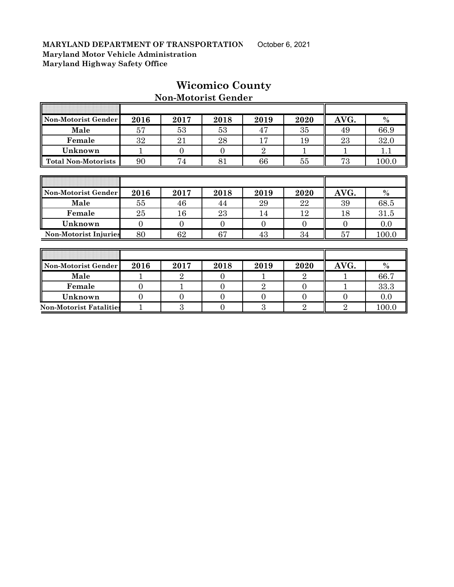$\overline{\phantom{a}}$ 

| Non-Motorist Gender          | 2016           | 2017           | 2018           | 2019           | 2020             | AVG.           | $\%$  |
|------------------------------|----------------|----------------|----------------|----------------|------------------|----------------|-------|
| Male                         | 57             | 53             | 53             | 47             | 35               | 49             | 66.9  |
| Female                       | 32             | 21             | 28             | 17             | 19               | 23             | 32.0  |
| Unknown                      | 1              | $\overline{0}$ | $\overline{0}$ | $\overline{2}$ | 1                | 1              | 1.1   |
| <b>Total Non-Motorists</b>   | 90             | 74             | 81             | 66             | 55               | 73             | 100.0 |
|                              |                |                |                |                |                  |                |       |
|                              |                |                |                |                |                  |                |       |
| Non-Motorist Gender          | 2016           | 2017           | 2018           | 2019           | 2020             | AVG.           | $\%$  |
| Male                         | 55             | 46             | 44             | 29             | 22               | 39             | 68.5  |
| Female                       | 25             | 16             | 23             | 14             | 12               | 18             | 31.5  |
| Unknown                      | $\overline{0}$ | $\overline{0}$ | $\overline{0}$ | $\theta$       | $\boldsymbol{0}$ | $\overline{0}$ | 0.0   |
| <b>Non-Motorist Injuries</b> | 80             | 62             | 67             | 43             | 34               | 57             | 100.0 |
|                              |                |                |                |                |                  |                |       |
|                              |                |                |                |                |                  |                |       |
| Non-Motorist Gender          | 2016           | 2017           | 2018           | 2019           | 2020             | AVG.           | $\%$  |
| Male                         | 1              | $\overline{2}$ | $\Omega$       |                | $\overline{2}$   |                | 66.7  |
| Female                       | $\overline{0}$ |                | 0              | $\overline{2}$ | $\overline{0}$   |                | 33.3  |

**Unknown** 0 0 0 0 0 0 0.0 **Non-Motorist Fatalities** 1 3 0 3 2 2 100.0

## **Wicomico County**

 $\overline{\mathbb{I}}$ 

╗

## **Non-Motorist Gender**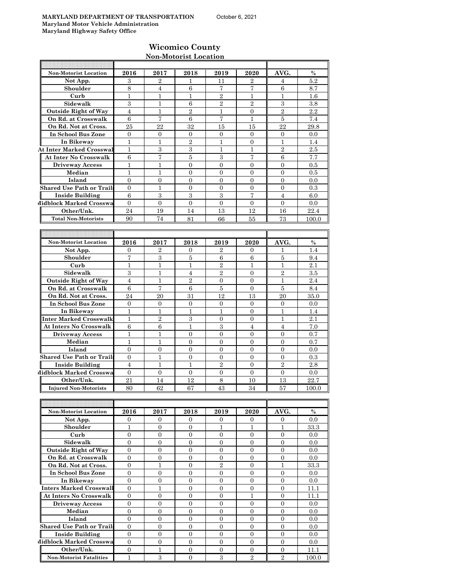### **Wicomico County Non-Motorist Location**

| <b>Non-Motorist Location</b>     | 2016             | 2017             | 2018             | 2019             | 2020             | AVG.             | $\frac{0}{0}$ |
|----------------------------------|------------------|------------------|------------------|------------------|------------------|------------------|---------------|
| Not App.                         | 3                | $\overline{2}$   | 1                | 11               | $\overline{2}$   | 4                | 5.2           |
| Shoulder                         | 8                | 4                | 6                | 7                | 7                | 6                | 8.7           |
| Curb                             | 1                | 1                | 1                | $\overline{2}$   | 1                | 1                | 1.6           |
| Sidewalk                         | 3                | 1                | 6                | $\overline{2}$   | $\overline{2}$   | 3                | 3.8           |
| <b>Outside Right of Way</b>      | 4                | 1                | $\overline{2}$   | $\mathbf{1}$     | $\overline{0}$   | $\overline{2}$   | 2.2           |
| On Rd. at Crosswalk              | 6                | 7                | 6                | 7                | 1                | 5                | 7.4           |
| On Rd. Not at Cross.             | 25               | 22               | 32               | 15               | 15               | 22               | 29.8          |
| In School Bus Zone               | $\overline{0}$   | $\mathbf{0}$     | $\mathbf{0}$     | $\overline{0}$   | $\overline{0}$   | $\mathbf{0}$     | 0.0           |
| In Bikeway                       | 1                | $\mathbf{1}$     | $\overline{2}$   | $\mathbf{1}$     | $\overline{0}$   | 1                | 1.4           |
| <b>At Inter Marked Crosswal</b>  | 1                | 3                | 3                | $\mathbf{1}$     | 1                | $\overline{2}$   | 2.5           |
| <b>At Inter No Crosswalk</b>     | 6                | 7                | 5                | 3                | 7                | 6                | 7.7           |
| <b>Driveway Access</b>           | 1                | 1                | $\overline{0}$   | $\overline{0}$   | $\overline{0}$   | $\overline{0}$   | 0.5           |
| Median                           | $\mathbf{1}$     | 1                | $\overline{0}$   | $\overline{0}$   | $\overline{0}$   | $\overline{0}$   | 0.5           |
| Island                           | $\overline{0}$   | $\overline{0}$   | $\overline{0}$   | $\overline{0}$   | $\overline{0}$   | $\overline{0}$   | 0.0           |
| <b>Shared Use Path or Trails</b> | $\overline{0}$   | 1                | $\overline{0}$   | $\overline{0}$   | $\overline{0}$   | $\overline{0}$   | 0.3           |
|                                  | 6                | 3                | 3                | 3                | 7                |                  |               |
| <b>Inside Building</b>           |                  |                  |                  |                  |                  | 4                | 6.0           |
| Midblock Marked Crosswa          | $\overline{0}$   | $\mathbf{0}$     | $\mathbf{0}$     | $\overline{0}$   | $\mathbf{0}$     | $\overline{0}$   | 0.0           |
| Other/Unk.                       | 24               | 19               | 14               | 13               | 12               | 16               | 22.4          |
| <b>Total Non-Motorists</b>       | 90               | 74               | 81               | 66               | 55               | 73               | 100.0         |
|                                  |                  |                  |                  |                  |                  |                  |               |
|                                  |                  |                  |                  |                  |                  |                  |               |
| <b>Non-Motorist Location</b>     | 2016             | 2017             | 2018             | 2019             | 2020             | AVG.             | $\%$          |
| Not App.                         | 0                | $\overline{2}$   | $\mathbf{0}$     | $\overline{2}$   | $\overline{0}$   | 1                | 1.4           |
| Shoulder                         | 7                | 3                | 5                | 6                | 6                | 5                | 9.4           |
| Curb                             | 1                | 1                | $\mathbf{1}$     | $\overline{2}$   | 1                | 1                | 2.1           |
| Sidewalk                         | 3                | $\mathbf{1}$     | $\overline{4}$   | $\overline{2}$   | $\overline{0}$   | $\overline{2}$   | 3.5           |
| <b>Outside Right of Way</b>      | 4                | 1                | $\overline{2}$   | $\overline{0}$   | $\overline{0}$   | $\mathbf{1}$     | 2.4           |
| On Rd. at Crosswalk              | 6                | 7                | 6                | 5                | $\overline{0}$   | 5                | 8.4           |
| On Rd. Not at Cross.             | 24               | 20               | 31               | 12               | 13               | 20               | 35.0          |
| In School Bus Zone               | $\overline{0}$   | $\overline{0}$   | $\mathbf{0}$     | $\overline{0}$   | $\mathbf{0}$     | $\overline{0}$   | 0.0           |
| In Bikeway                       | 1                | 1                | 1                | $\mathbf{1}$     | $\overline{0}$   | 1                | 1.4           |
| Inter Marked Crosswalk           | 1                | $\overline{2}$   | 3                | $\overline{0}$   | $\mathbf{0}$     | 1                | 2.1           |
| <b>At Inters No Crosswalk</b>    | $\,6$            | 6                | $\mathbf{1}$     | 3                | $\overline{4}$   | $\overline{4}$   | 7.0           |
| <b>Driveway Access</b>           | 1                | 1                | $\mathbf{0}$     | $\overline{0}$   | $\overline{0}$   | 0                | 0.7           |
| Median                           | 1                | 1                | $\mathbf{0}$     | $\boldsymbol{0}$ | $\overline{0}$   | 0                | 0.7           |
| Island                           | $\overline{0}$   | $\overline{0}$   | $\overline{0}$   | $\overline{0}$   | $\overline{0}$   | $\overline{0}$   | 0.0           |
| <b>Shared Use Path or Trails</b> | $\overline{0}$   | 1                | $\mathbf{0}$     | $\overline{0}$   | $\overline{0}$   | $\overline{0}$   | 0.3           |
| <b>Inside Building</b>           | 4                | 1                | 1                | $\overline{2}$   | $\overline{0}$   | $\sqrt{2}$       | 2.8           |
| Midblock Marked Crosswa          | $\overline{0}$   | $\overline{0}$   | $\overline{0}$   | $\overline{0}$   | $\overline{0}$   | $\overline{0}$   | 0.0           |
| Other/Unk.                       | 21               | 14               | 12               | 8                | 10               | 13               | 22.7          |
| <b>Injured Non-Motorists</b>     | 80               | 62               | 67               | 43               | 34               | 57               | 100.0         |
|                                  |                  |                  |                  |                  |                  |                  |               |
|                                  |                  |                  |                  |                  |                  |                  |               |
| Non-Motorist Location            | 2016             | 2017             | 2018             | 2019             | 2020             | AVG.             | $\%$          |
| Not App.                         | $\overline{0}$   | $\mathbf{0}$     | $\overline{0}$   | $\overline{0}$   | $\overline{0}$   | $\mathbf{0}$     | 0.0           |
| Shoulder                         | $\mathbf{1}$     | $\overline{0}$   | $\overline{0}$   | $\mathbf{1}$     | 1                | $\mathbf{1}$     | 33.3          |
| Curb                             | $\boldsymbol{0}$ | $\boldsymbol{0}$ | $\overline{0}$   | 0                | $\boldsymbol{0}$ | $\boldsymbol{0}$ | 0.0           |
| Sidewalk                         | $\overline{0}$   | $\mathbf{0}$     | $\overline{0}$   | $\overline{0}$   | $\mathbf{0}$     | $\mathbf{0}$     |               |
| <b>Outside Right of Way</b>      | $\boldsymbol{0}$ | $\boldsymbol{0}$ | $\boldsymbol{0}$ | $\boldsymbol{0}$ | $\boldsymbol{0}$ | $\boldsymbol{0}$ | 0.0<br>0.0    |
|                                  |                  |                  |                  |                  |                  |                  |               |
| On Rd. at Crosswalk              | $\boldsymbol{0}$ | $\boldsymbol{0}$ | $\boldsymbol{0}$ | $\boldsymbol{0}$ | $\boldsymbol{0}$ | $\boldsymbol{0}$ | 0.0           |
| On Rd. Not at Cross.             | $\boldsymbol{0}$ | $\mathbf{1}$     | $\overline{0}$   | $\overline{2}$   | $\overline{0}$   | $\mathbf{1}$     | 33.3          |
| In School Bus Zone               | $\boldsymbol{0}$ | $\mathbf{0}$     | $\mathbf{0}$     | $\overline{0}$   | $\overline{0}$   | $\boldsymbol{0}$ | 0.0           |
| In Bikeway                       | $\overline{0}$   | $\boldsymbol{0}$ | $\mathbf{0}$     | $\overline{0}$   | $\overline{0}$   | $\mathbf{0}$     | 0.0           |
| <b>Inters Marked Crosswall</b>   | $\boldsymbol{0}$ | $\mathbf{1}$     | $\mathbf{0}$     | $\overline{0}$   | $\boldsymbol{0}$ | $\boldsymbol{0}$ | 11.1          |
| <b>At Inters No Crosswalk</b>    | $\mathbf{0}$     | $\boldsymbol{0}$ | $\overline{0}$   | $\overline{0}$   | $\mathbf{1}$     | $\mathbf{0}$     | 11.1          |
| <b>Driveway Access</b>           | $\boldsymbol{0}$ | $\boldsymbol{0}$ | $\boldsymbol{0}$ | $\boldsymbol{0}$ | $\boldsymbol{0}$ | $\boldsymbol{0}$ | 0.0           |
| Median                           | $\boldsymbol{0}$ | $\mathbf{0}$     | $\overline{0}$   | 0                | $\boldsymbol{0}$ | $\mathbf{0}$     | 0.0           |
| Island                           | $\boldsymbol{0}$ | $\boldsymbol{0}$ | $\overline{0}$   | $\overline{0}$   | $\mathbf{0}$     | 0                | $0.0\,$       |
| <b>Shared Use Path or Trails</b> | $\boldsymbol{0}$ | $\boldsymbol{0}$ | $\overline{0}$   | $\boldsymbol{0}$ | $\boldsymbol{0}$ | $\boldsymbol{0}$ | 0.0           |

**Inside Building** 0 0 0 0 0 0 0.0

**Other/Unk.** 0 1 1 0 0 0 0 11.1 **Non-Motorist Fatalities** 1 3 0 3 2 2 100.0

**Midblock Marked Crosswa** 0 0 0 0 0 0 0 0